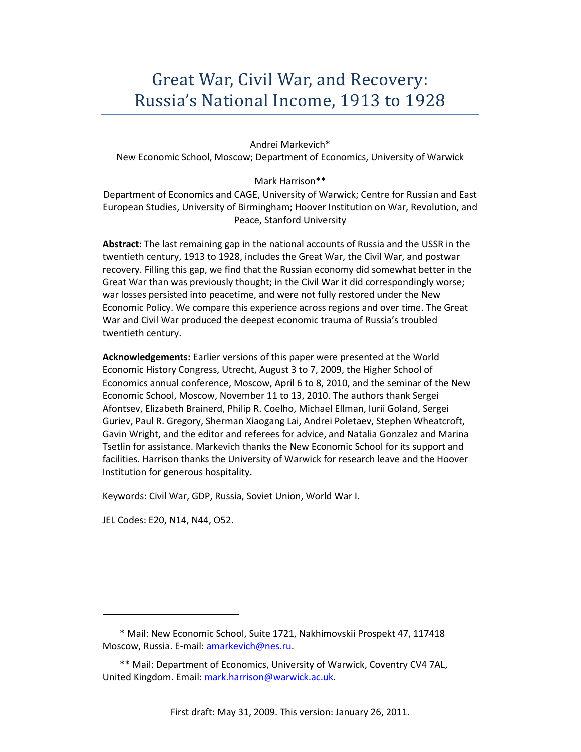# Great War, Civil War, and Recovery: Russia's National Income, 1913 to 1928

#### Andrei Markevich\*

New Economic School, Moscow; Department of Economics, University of Warwick

## Mark Harrison\*\*

Department of Economics and CAGE, University of Warwick; Centre for Russian and East European Studies, University of Birmingham; Hoover Institution on War, Revolution, and Peace, Stanford University

**Abstract**: The last remaining gap in the national accounts of Russia and the USSR in the twentieth century, 1913 to 1928, includes the Great War, the Civil War, and postwar recovery. Filling this gap, we find that the Russian economy did somewhat better in the Great War than was previously thought; in the Civil War it did correspondingly worse; war losses persisted into peacetime, and were not fully restored under the New Economic Policy. We compare this experience across regions and over time. The Great War and Civil War produced the deepest economic trauma of Russia's troubled twentieth century.

**Acknowledgements:** Earlier versions of this paper were presented at the World Economic History Congress, Utrecht, August 3 to 7, 2009, the Higher School of Economics annual conference, Moscow, April 6 to 8, 2010, and the seminar of the New Economic School, Moscow, November 11 to 13, 2010. The authors thank Sergei Afontsev, Elizabeth Brainerd, Philip R. Coelho, Michael Ellman, Iurii Goland, Sergei Guriev, Paul R. Gregory, Sherman Xiaogang Lai, Andrei Poletaev, Stephen Wheatcroft, Gavin Wright, and the editor and referees for advice, and Natalia Gonzalez and Marina Tsetlin for assistance. Markevich thanks the New Economic School for its support and facilities. Harrison thanks the University of Warwick for research leave and the Hoover Institution for generous hospitality.

Keywords: Civil War, GDP, Russia, Soviet Union, World War I.

JEL Codes: E20, N14, N44, O52.

<sup>\*</sup> Mail: New Economic School, Suite 1721, Nakhimovskii Prospekt 47, 117418 Moscow, Russia. E-mail: amarkevich@nes.ru.

<sup>\*\*</sup> Mail: Department of Economics, University of Warwick, Coventry CV4 7AL, United Kingdom. Email: mark.harrison@warwick.ac.uk.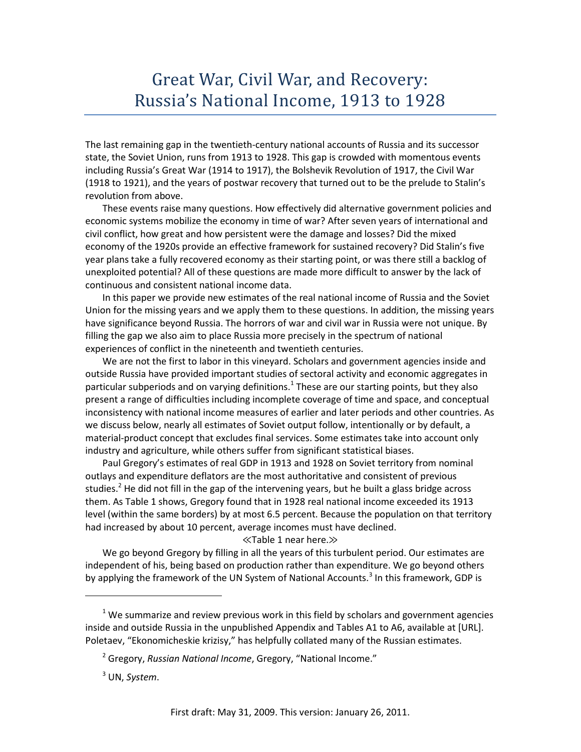# Great War, Civil War, and Recovery: Russia's National Income, 1913 to 1928

The last remaining gap in the twentieth-century national accounts of Russia and its successor state, the Soviet Union, runs from 1913 to 1928. This gap is crowded with momentous events including Russia's Great War (1914 to 1917), the Bolshevik Revolution of 1917, the Civil War (1918 to 1921), and the years of postwar recovery that turned out to be the prelude to Stalin's revolution from above.

These events raise many questions. How effectively did alternative government policies and economic systems mobilize the economy in time of war? After seven years of international and civil conflict, how great and how persistent were the damage and losses? Did the mixed economy of the 1920s provide an effective framework for sustained recovery? Did Stalin's five year plans take a fully recovered economy as their starting point, or was there still a backlog of unexploited potential? All of these questions are made more difficult to answer by the lack of continuous and consistent national income data.

In this paper we provide new estimates of the real national income of Russia and the Soviet Union for the missing years and we apply them to these questions. In addition, the missing years have significance beyond Russia. The horrors of war and civil war in Russia were not unique. By filling the gap we also aim to place Russia more precisely in the spectrum of national experiences of conflict in the nineteenth and twentieth centuries.

We are not the first to labor in this vineyard. Scholars and government agencies inside and outside Russia have provided important studies of sectoral activity and economic aggregates in particular subperiods and on varying definitions.<sup>1</sup> These are our starting points, but they also present a range of difficulties including incomplete coverage of time and space, and conceptual inconsistency with national income measures of earlier and later periods and other countries. As we discuss below, nearly all estimates of Soviet output follow, intentionally or by default, a material-product concept that excludes final services. Some estimates take into account only industry and agriculture, while others suffer from significant statistical biases.

Paul Gregory's estimates of real GDP in 1913 and 1928 on Soviet territory from nominal outlays and expenditure deflators are the most authoritative and consistent of previous studies.<sup>2</sup> He did not fill in the gap of the intervening years, but he built a glass bridge across them. As Table 1 shows, Gregory found that in 1928 real national income exceeded its 1913 level (within the same borders) by at most 6.5 percent. Because the population on that territory had increased by about 10 percent, average incomes must have declined.

### ≪Table 1 near here.≫

We go beyond Gregory by filling in all the years of this turbulent period. Our estimates are independent of his, being based on production rather than expenditure. We go beyond others by applying the framework of the UN System of National Accounts.<sup>3</sup> In this framework, GDP is

 $<sup>1</sup>$  We summarize and review previous work in this field by scholars and government agencies</sup> inside and outside Russia in the unpublished Appendix and Tables A1 to A6, available at [URL]. Poletaev, "Ekonomicheskie krizisy," has helpfully collated many of the Russian estimates.

<sup>2</sup> Gregory, *Russian National Income*, Gregory, "National Income."

<sup>3</sup> UN, *System*.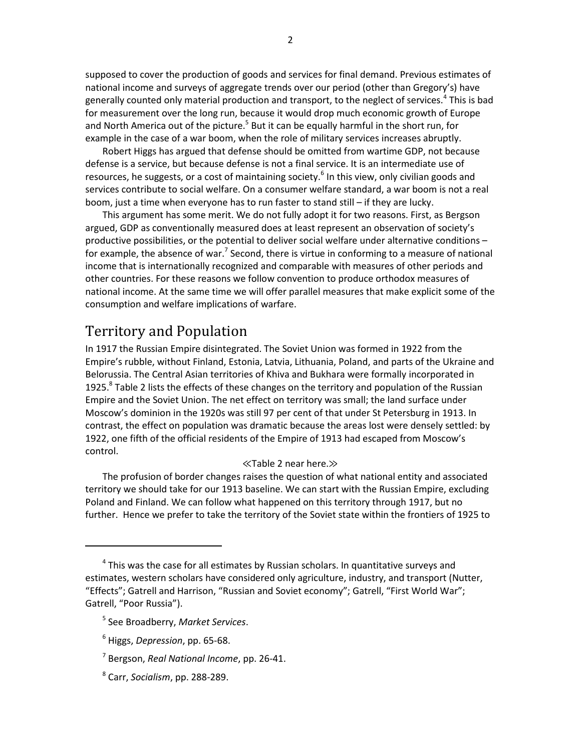supposed to cover the production of goods and services for final demand. Previous estimates of national income and surveys of aggregate trends over our period (other than Gregory's) have generally counted only material production and transport, to the neglect of services.<sup>4</sup> This is bad for measurement over the long run, because it would drop much economic growth of Europe and North America out of the picture.<sup>5</sup> But it can be equally harmful in the short run, for example in the case of a war boom, when the role of military services increases abruptly.

Robert Higgs has argued that defense should be omitted from wartime GDP, not because defense is a service, but because defense is not a final service. It is an intermediate use of resources, he suggests, or a cost of maintaining society.<sup>6</sup> In this view, only civilian goods and services contribute to social welfare. On a consumer welfare standard, a war boom is not a real boom, just a time when everyone has to run faster to stand still – if they are lucky.

This argument has some merit. We do not fully adopt it for two reasons. First, as Bergson argued, GDP as conventionally measured does at least represent an observation of society's productive possibilities, or the potential to deliver social welfare under alternative conditions – for example, the absence of war.<sup>7</sup> Second, there is virtue in conforming to a measure of national income that is internationally recognized and comparable with measures of other periods and other countries. For these reasons we follow convention to produce orthodox measures of national income. At the same time we will offer parallel measures that make explicit some of the consumption and welfare implications of warfare.

## Territory and Population

In 1917 the Russian Empire disintegrated. The Soviet Union was formed in 1922 from the Empire's rubble, without Finland, Estonia, Latvia, Lithuania, Poland, and parts of the Ukraine and Belorussia. The Central Asian territories of Khiva and Bukhara were formally incorporated in 1925. ${}^{8}$  Table 2 lists the effects of these changes on the territory and population of the Russian Empire and the Soviet Union. The net effect on territory was small; the land surface under Moscow's dominion in the 1920s was still 97 per cent of that under St Petersburg in 1913. In contrast, the effect on population was dramatic because the areas lost were densely settled: by 1922, one fifth of the official residents of the Empire of 1913 had escaped from Moscow's control.

## ≪Table 2 near here.≫

The profusion of border changes raises the question of what national entity and associated territory we should take for our 1913 baseline. We can start with the Russian Empire, excluding Poland and Finland. We can follow what happened on this territory through 1917, but no further. Hence we prefer to take the territory of the Soviet state within the frontiers of 1925 to

8 Carr, *Socialism*, pp. 288-289.

<sup>&</sup>lt;sup>4</sup> This was the case for all estimates by Russian scholars. In quantitative surveys and estimates, western scholars have considered only agriculture, industry, and transport (Nutter, "Effects"; Gatrell and Harrison, "Russian and Soviet economy"; Gatrell, "First World War"; Gatrell, "Poor Russia").

<sup>5</sup> See Broadberry, *Market Services*.

<sup>6</sup> Higgs, *Depression*, pp. 65-68.

<sup>7</sup> Bergson, *Real National Income*, pp. 26-41.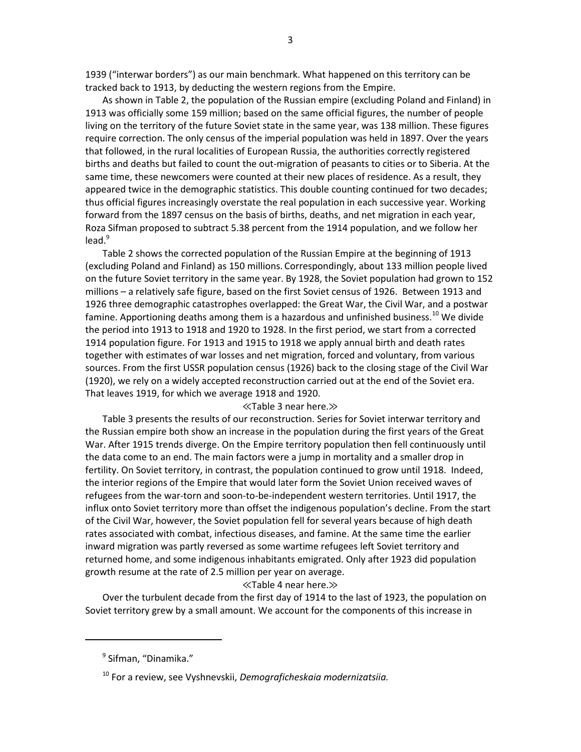1939 ("interwar borders") as our main benchmark. What happened on this territory can be tracked back to 1913, by deducting the western regions from the Empire.

As shown in Table 2, the population of the Russian empire (excluding Poland and Finland) in 1913 was officially some 159 million; based on the same official figures, the number of people living on the territory of the future Soviet state in the same year, was 138 million. These figures require correction. The only census of the imperial population was held in 1897. Over the years that followed, in the rural localities of European Russia, the authorities correctly registered births and deaths but failed to count the out-migration of peasants to cities or to Siberia. At the same time, these newcomers were counted at their new places of residence. As a result, they appeared twice in the demographic statistics. This double counting continued for two decades; thus official figures increasingly overstate the real population in each successive year. Working forward from the 1897 census on the basis of births, deaths, and net migration in each year, Roza Sifman proposed to subtract 5.38 percent from the 1914 population, and we follow her  $lead.9$ 

Table 2 shows the corrected population of the Russian Empire at the beginning of 1913 (excluding Poland and Finland) as 150 millions. Correspondingly, about 133 million people lived on the future Soviet territory in the same year. By 1928, the Soviet population had grown to 152 millions – a relatively safe figure, based on the first Soviet census of 1926. Between 1913 and 1926 three demographic catastrophes overlapped: the Great War, the Civil War, and a postwar famine. Apportioning deaths among them is a hazardous and unfinished business.<sup>10</sup> We divide the period into 1913 to 1918 and 1920 to 1928. In the first period, we start from a corrected 1914 population figure. For 1913 and 1915 to 1918 we apply annual birth and death rates together with estimates of war losses and net migration, forced and voluntary, from various sources. From the first USSR population census (1926) back to the closing stage of the Civil War (1920), we rely on a widely accepted reconstruction carried out at the end of the Soviet era. That leaves 1919, for which we average 1918 and 1920.

#### ≪Table 3 near here.≫

Table 3 presents the results of our reconstruction. Series for Soviet interwar territory and the Russian empire both show an increase in the population during the first years of the Great War. After 1915 trends diverge. On the Empire territory population then fell continuously until the data come to an end. The main factors were a jump in mortality and a smaller drop in fertility. On Soviet territory, in contrast, the population continued to grow until 1918. Indeed, the interior regions of the Empire that would later form the Soviet Union received waves of refugees from the war-torn and soon-to-be-independent western territories. Until 1917, the influx onto Soviet territory more than offset the indigenous population's decline. From the start of the Civil War, however, the Soviet population fell for several years because of high death rates associated with combat, infectious diseases, and famine. At the same time the earlier inward migration was partly reversed as some wartime refugees left Soviet territory and returned home, and some indigenous inhabitants emigrated. Only after 1923 did population growth resume at the rate of 2.5 million per year on average.

#### ≪Table 4 near here.≫

Over the turbulent decade from the first day of 1914 to the last of 1923, the population on Soviet territory grew by a small amount. We account for the components of this increase in

<sup>&</sup>lt;sup>9</sup> Sifman, "Dinamika."

<sup>10</sup> For a review, see Vyshnevskii, *Demograficheskaia modernizatsiia.*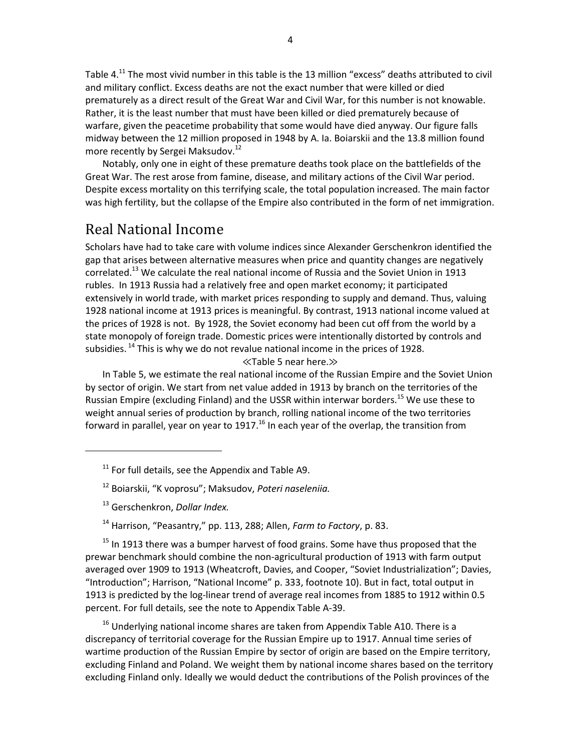Table 4.<sup>11</sup> The most vivid number in this table is the 13 million "excess" deaths attributed to civil and military conflict. Excess deaths are not the exact number that were killed or died prematurely as a direct result of the Great War and Civil War, for this number is not knowable. Rather, it is the least number that must have been killed or died prematurely because of warfare, given the peacetime probability that some would have died anyway. Our figure falls midway between the 12 million proposed in 1948 by A. Ia. Boiarskii and the 13.8 million found more recently by Sergei Maksudov.<sup>12</sup>

Notably, only one in eight of these premature deaths took place on the battlefields of the Great War. The rest arose from famine, disease, and military actions of the Civil War period. Despite excess mortality on this terrifying scale, the total population increased. The main factor was high fertility, but the collapse of the Empire also contributed in the form of net immigration.

## Real National Income

Scholars have had to take care with volume indices since Alexander Gerschenkron identified the gap that arises between alternative measures when price and quantity changes are negatively correlated.<sup>13</sup> We calculate the real national income of Russia and the Soviet Union in 1913 rubles. In 1913 Russia had a relatively free and open market economy; it participated extensively in world trade, with market prices responding to supply and demand. Thus, valuing 1928 national income at 1913 prices is meaningful. By contrast, 1913 national income valued at the prices of 1928 is not. By 1928, the Soviet economy had been cut off from the world by a state monopoly of foreign trade. Domestic prices were intentionally distorted by controls and subsidies.  $^{14}$  This is why we do not revalue national income in the prices of 1928.

≪Table 5 near here.≫

In Table 5, we estimate the real national income of the Russian Empire and the Soviet Union by sector of origin. We start from net value added in 1913 by branch on the territories of the Russian Empire (excluding Finland) and the USSR within interwar borders.<sup>15</sup> We use these to weight annual series of production by branch, rolling national income of the two territories forward in parallel, year on year to 1917.<sup>16</sup> In each year of the overlap, the transition from

- <sup>12</sup> Boiarskii, "K voprosu"; Maksudov, *Poteri naseleniia.*
- <sup>13</sup> Gerschenkron, *Dollar Index.*

<sup>14</sup> Harrison, "Peasantry," pp. 113, 288; Allen, *Farm to Factory*, p. 83.

 $15$  In 1913 there was a bumper harvest of food grains. Some have thus proposed that the prewar benchmark should combine the non-agricultural production of 1913 with farm output averaged over 1909 to 1913 (Wheatcroft, Davies, and Cooper, "Soviet Industrialization"; Davies, "Introduction"; Harrison, "National Income" p. 333, footnote 10). But in fact, total output in 1913 is predicted by the log-linear trend of average real incomes from 1885 to 1912 within 0.5 percent. For full details, see the note to Appendix Table A-39.

 $16$  Underlying national income shares are taken from Appendix Table A10. There is a discrepancy of territorial coverage for the Russian Empire up to 1917. Annual time series of wartime production of the Russian Empire by sector of origin are based on the Empire territory, excluding Finland and Poland. We weight them by national income shares based on the territory excluding Finland only. Ideally we would deduct the contributions of the Polish provinces of the

 $11$  For full details, see the Appendix and Table A9.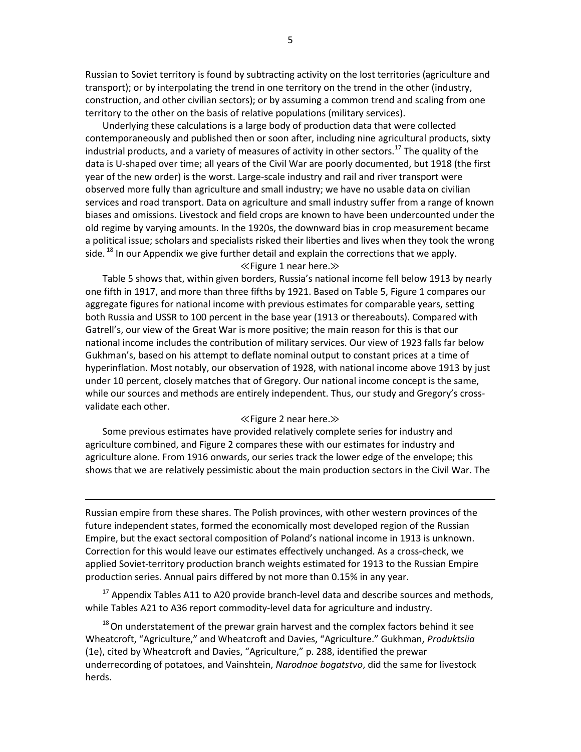Russian to Soviet territory is found by subtracting activity on the lost territories (agriculture and transport); or by interpolating the trend in one territory on the trend in the other (industry, construction, and other civilian sectors); or by assuming a common trend and scaling from one territory to the other on the basis of relative populations (military services).

Underlying these calculations is a large body of production data that were collected contemporaneously and published then or soon after, including nine agricultural products, sixty industrial products, and a variety of measures of activity in other sectors.<sup>17</sup> The quality of the data is U-shaped over time; all years of the Civil War are poorly documented, but 1918 (the first year of the new order) is the worst. Large-scale industry and rail and river transport were observed more fully than agriculture and small industry; we have no usable data on civilian services and road transport. Data on agriculture and small industry suffer from a range of known biases and omissions. Livestock and field crops are known to have been undercounted under the old regime by varying amounts. In the 1920s, the downward bias in crop measurement became a political issue; scholars and specialists risked their liberties and lives when they took the wrong side.  $^{18}$  In our Appendix we give further detail and explain the corrections that we apply.

### ≪Figure 1 near here.≫

Table 5 shows that, within given borders, Russia's national income fell below 1913 by nearly one fifth in 1917, and more than three fifths by 1921. Based on Table 5, Figure 1 compares our aggregate figures for national income with previous estimates for comparable years, setting both Russia and USSR to 100 percent in the base year (1913 or thereabouts). Compared with Gatrell's, our view of the Great War is more positive; the main reason for this is that our national income includes the contribution of military services. Our view of 1923 falls far below Gukhman's, based on his attempt to deflate nominal output to constant prices at a time of hyperinflation. Most notably, our observation of 1928, with national income above 1913 by just under 10 percent, closely matches that of Gregory. Our national income concept is the same, while our sources and methods are entirely independent. Thus, our study and Gregory's crossvalidate each other.

#### ≪Figure 2 near here.≫

Some previous estimates have provided relatively complete series for industry and agriculture combined, and Figure 2 compares these with our estimates for industry and agriculture alone. From 1916 onwards, our series track the lower edge of the envelope; this shows that we are relatively pessimistic about the main production sectors in the Civil War. The

Russian empire from these shares. The Polish provinces, with other western provinces of the future independent states, formed the economically most developed region of the Russian Empire, but the exact sectoral composition of Poland's national income in 1913 is unknown. Correction for this would leave our estimates effectively unchanged. As a cross-check, we applied Soviet-territory production branch weights estimated for 1913 to the Russian Empire production series. Annual pairs differed by not more than 0.15% in any year.

 $17$  Appendix Tables A11 to A20 provide branch-level data and describe sources and methods, while Tables A21 to A36 report commodity-level data for agriculture and industry.

 $18$  On understatement of the prewar grain harvest and the complex factors behind it see Wheatcroft, "Agriculture," and Wheatcroft and Davies, "Agriculture." Gukhman, *Produktsiia* (1e), cited by Wheatcroft and Davies, "Agriculture," p. 288, identified the prewar underrecording of potatoes, and Vainshtein, *Narodnoe bogatstvo*, did the same for livestock herds.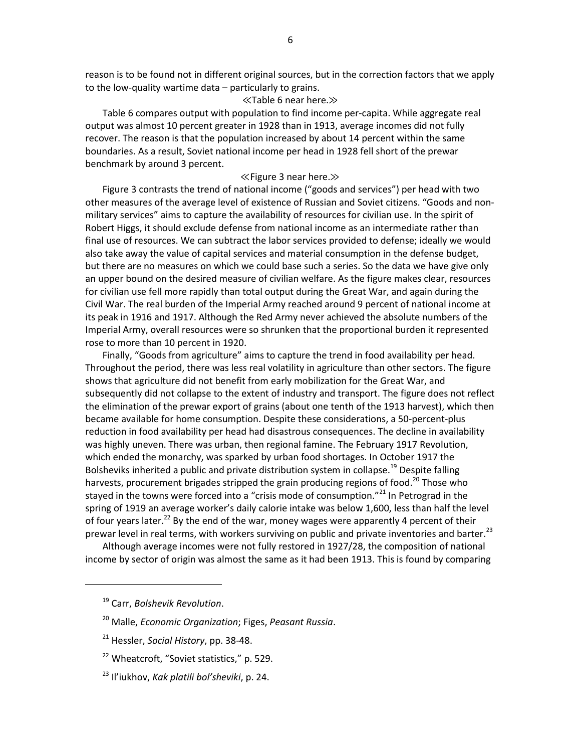reason is to be found not in different original sources, but in the correction factors that we apply to the low-quality wartime data – particularly to grains.

### ≪Table 6 near here.≫

Table 6 compares output with population to find income per-capita. While aggregate real output was almost 10 percent greater in 1928 than in 1913, average incomes did not fully recover. The reason is that the population increased by about 14 percent within the same boundaries. As a result, Soviet national income per head in 1928 fell short of the prewar benchmark by around 3 percent.

### ≪Figure 3 near here.≫

Figure 3 contrasts the trend of national income ("goods and services") per head with two other measures of the average level of existence of Russian and Soviet citizens. "Goods and nonmilitary services" aims to capture the availability of resources for civilian use. In the spirit of Robert Higgs, it should exclude defense from national income as an intermediate rather than final use of resources. We can subtract the labor services provided to defense; ideally we would also take away the value of capital services and material consumption in the defense budget, but there are no measures on which we could base such a series. So the data we have give only an upper bound on the desired measure of civilian welfare. As the figure makes clear, resources for civilian use fell more rapidly than total output during the Great War, and again during the Civil War. The real burden of the Imperial Army reached around 9 percent of national income at its peak in 1916 and 1917. Although the Red Army never achieved the absolute numbers of the Imperial Army, overall resources were so shrunken that the proportional burden it represented rose to more than 10 percent in 1920.

Finally, "Goods from agriculture" aims to capture the trend in food availability per head. Throughout the period, there was less real volatility in agriculture than other sectors. The figure shows that agriculture did not benefit from early mobilization for the Great War, and subsequently did not collapse to the extent of industry and transport. The figure does not reflect the elimination of the prewar export of grains (about one tenth of the 1913 harvest), which then became available for home consumption. Despite these considerations, a 50-percent-plus reduction in food availability per head had disastrous consequences. The decline in availability was highly uneven. There was urban, then regional famine. The February 1917 Revolution, which ended the monarchy, was sparked by urban food shortages. In October 1917 the Bolsheviks inherited a public and private distribution system in collapse.<sup>19</sup> Despite falling harvests, procurement brigades stripped the grain producing regions of food.<sup>20</sup> Those who stayed in the towns were forced into a "crisis mode of consumption."<sup>21</sup> In Petrograd in the spring of 1919 an average worker's daily calorie intake was below 1,600, less than half the level of four years later.<sup>22</sup> By the end of the war, money wages were apparently 4 percent of their prewar level in real terms, with workers surviving on public and private inventories and barter.<sup>23</sup>

Although average incomes were not fully restored in 1927/28, the composition of national income by sector of origin was almost the same as it had been 1913. This is found by comparing

<sup>19</sup> Carr, *Bolshevik Revolution*.

<sup>20</sup> Malle, *Economic Organization*; Figes, *Peasant Russia*.

<sup>21</sup> Hessler, *Social History*, pp. 38-48.

<sup>&</sup>lt;sup>22</sup> Wheatcroft, "Soviet statistics," p. 529.

<sup>23</sup> Il'iukhov, *Kak platili bol'sheviki*, p. 24.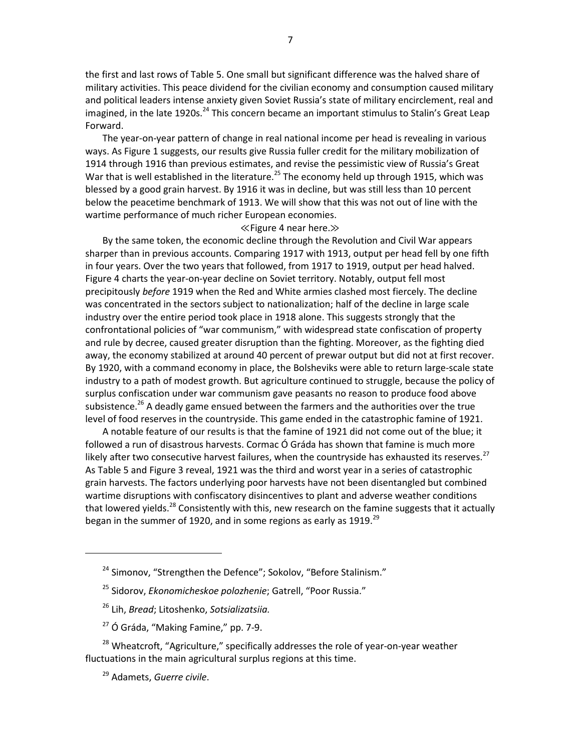the first and last rows of Table 5. One small but significant difference was the halved share of military activities. This peace dividend for the civilian economy and consumption caused military and political leaders intense anxiety given Soviet Russia's state of military encirclement, real and imagined, in the late 1920s.<sup>24</sup> This concern became an important stimulus to Stalin's Great Leap Forward.

The year-on-year pattern of change in real national income per head is revealing in various ways. As Figure 1 suggests, our results give Russia fuller credit for the military mobilization of 1914 through 1916 than previous estimates, and revise the pessimistic view of Russia's Great War that is well established in the literature.<sup>25</sup> The economy held up through 1915, which was blessed by a good grain harvest. By 1916 it was in decline, but was still less than 10 percent below the peacetime benchmark of 1913. We will show that this was not out of line with the wartime performance of much richer European economies.

#### ≪Figure 4 near here.≫

By the same token, the economic decline through the Revolution and Civil War appears sharper than in previous accounts. Comparing 1917 with 1913, output per head fell by one fifth in four years. Over the two years that followed, from 1917 to 1919, output per head halved. Figure 4 charts the year-on-year decline on Soviet territory. Notably, output fell most precipitously *before* 1919 when the Red and White armies clashed most fiercely. The decline was concentrated in the sectors subject to nationalization; half of the decline in large scale industry over the entire period took place in 1918 alone. This suggests strongly that the confrontational policies of "war communism," with widespread state confiscation of property and rule by decree, caused greater disruption than the fighting. Moreover, as the fighting died away, the economy stabilized at around 40 percent of prewar output but did not at first recover. By 1920, with a command economy in place, the Bolsheviks were able to return large-scale state industry to a path of modest growth. But agriculture continued to struggle, because the policy of surplus confiscation under war communism gave peasants no reason to produce food above subsistence.<sup>26</sup> A deadly game ensued between the farmers and the authorities over the true level of food reserves in the countryside. This game ended in the catastrophic famine of 1921.

A notable feature of our results is that the famine of 1921 did not come out of the blue; it followed a run of disastrous harvests. Cormac Ó Gráda has shown that famine is much more likely after two consecutive harvest failures, when the countryside has exhausted its reserves.<sup>27</sup> As Table 5 and Figure 3 reveal, 1921 was the third and worst year in a series of catastrophic grain harvests. The factors underlying poor harvests have not been disentangled but combined wartime disruptions with confiscatory disincentives to plant and adverse weather conditions that lowered yields.<sup>28</sup> Consistently with this, new research on the famine suggests that it actually began in the summer of 1920, and in some regions as early as 1919. $^{29}$ 

- <sup>26</sup> Lih, *Bread*; Litoshenko, *Sotsializatsiia.*
- $27$  Ó Gráda, "Making Famine," pp. 7-9.

<sup>&</sup>lt;sup>24</sup> Simonov, "Strengthen the Defence"; Sokolov, "Before Stalinism."

<sup>25</sup> Sidorov, *Ekonomicheskoe polozhenie*; Gatrell, "Poor Russia."

 $28$  Wheatcroft, "Agriculture," specifically addresses the role of year-on-year weather fluctuations in the main agricultural surplus regions at this time.

<sup>29</sup> Adamets, *Guerre civile*.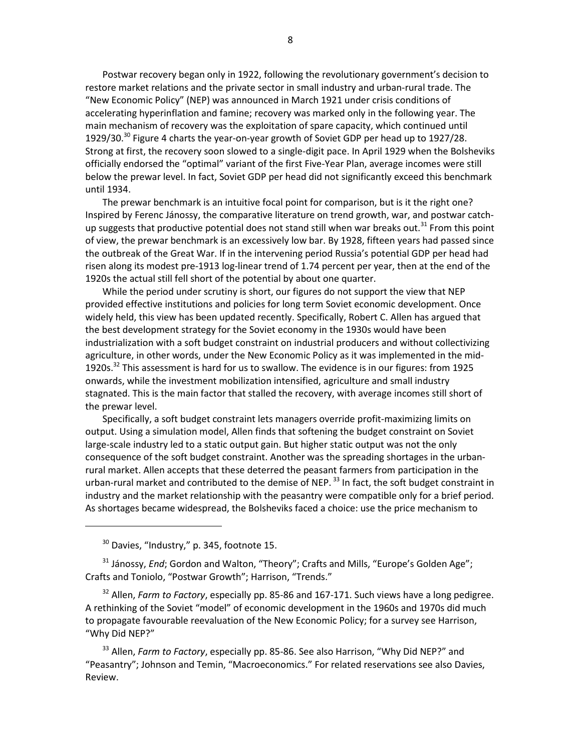Postwar recovery began only in 1922, following the revolutionary government's decision to restore market relations and the private sector in small industry and urban-rural trade. The "New Economic Policy" (NEP) was announced in March 1921 under crisis conditions of accelerating hyperinflation and famine; recovery was marked only in the following year. The main mechanism of recovery was the exploitation of spare capacity, which continued until 1929/30.<sup>30</sup> Figure 4 charts the year-on-year growth of Soviet GDP per head up to 1927/28. Strong at first, the recovery soon slowed to a single-digit pace. In April 1929 when the Bolsheviks officially endorsed the "optimal" variant of the first Five-Year Plan, average incomes were still below the prewar level. In fact, Soviet GDP per head did not significantly exceed this benchmark until 1934.

The prewar benchmark is an intuitive focal point for comparison, but is it the right one? Inspired by Ferenc Jánossy, the comparative literature on trend growth, war, and postwar catchup suggests that productive potential does not stand still when war breaks out.<sup>31</sup> From this point of view, the prewar benchmark is an excessively low bar. By 1928, fifteen years had passed since the outbreak of the Great War. If in the intervening period Russia's potential GDP per head had risen along its modest pre-1913 log-linear trend of 1.74 percent per year, then at the end of the 1920s the actual still fell short of the potential by about one quarter.

While the period under scrutiny is short, our figures do not support the view that NEP provided effective institutions and policies for long term Soviet economic development. Once widely held, this view has been updated recently. Specifically, Robert C. Allen has argued that the best development strategy for the Soviet economy in the 1930s would have been industrialization with a soft budget constraint on industrial producers and without collectivizing agriculture, in other words, under the New Economic Policy as it was implemented in the mid-1920s.<sup>32</sup> This assessment is hard for us to swallow. The evidence is in our figures: from 1925 onwards, while the investment mobilization intensified, agriculture and small industry stagnated. This is the main factor that stalled the recovery, with average incomes still short of the prewar level.

Specifically, a soft budget constraint lets managers override profit-maximizing limits on output. Using a simulation model, Allen finds that softening the budget constraint on Soviet large-scale industry led to a static output gain. But higher static output was not the only consequence of the soft budget constraint. Another was the spreading shortages in the urbanrural market. Allen accepts that these deterred the peasant farmers from participation in the urban-rural market and contributed to the demise of NEP.<sup>33</sup> In fact, the soft budget constraint in industry and the market relationship with the peasantry were compatible only for a brief period. As shortages became widespread, the Bolsheviks faced a choice: use the price mechanism to

<sup>30</sup> Davies, "Industry," p. 345, footnote 15.

<sup>31</sup> Jánossy, *End*; Gordon and Walton, "Theory"; Crafts and Mills, "Europe's Golden Age"; Crafts and Toniolo, "Postwar Growth"; Harrison, "Trends."

<sup>32</sup> Allen, *Farm to Factory*, especially pp. 85-86 and 167-171. Such views have a long pedigree. A rethinking of the Soviet "model" of economic development in the 1960s and 1970s did much to propagate favourable reevaluation of the New Economic Policy; for a survey see Harrison, "Why Did NEP?"

<sup>33</sup> Allen, *Farm to Factory*, especially pp. 85-86. See also Harrison, "Why Did NEP?" and "Peasantry"; Johnson and Temin, "Macroeconomics." For related reservations see also Davies, Review.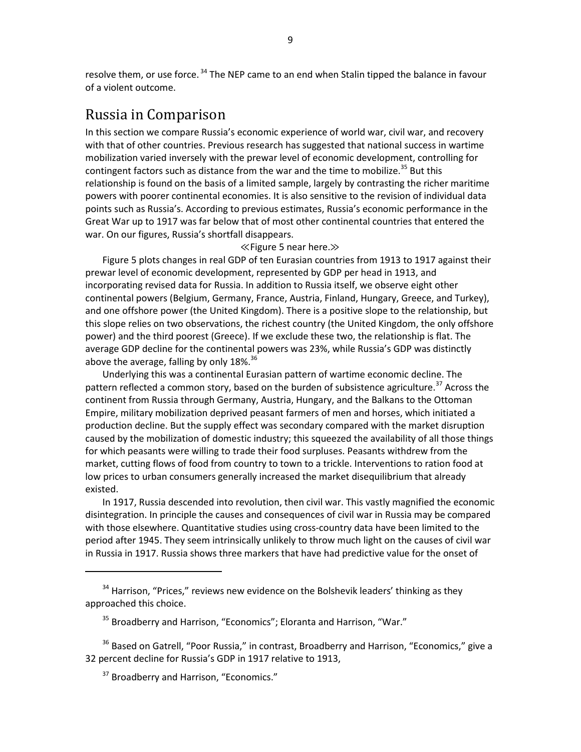resolve them, or use force.<sup>34</sup> The NEP came to an end when Stalin tipped the balance in favour of a violent outcome.

## Russia in Comparison

In this section we compare Russia's economic experience of world war, civil war, and recovery with that of other countries. Previous research has suggested that national success in wartime mobilization varied inversely with the prewar level of economic development, controlling for contingent factors such as distance from the war and the time to mobilize.<sup>35</sup> But this relationship is found on the basis of a limited sample, largely by contrasting the richer maritime powers with poorer continental economies. It is also sensitive to the revision of individual data points such as Russia's. According to previous estimates, Russia's economic performance in the Great War up to 1917 was far below that of most other continental countries that entered the war. On our figures, Russia's shortfall disappears.

#### ≪Figure 5 near here.≫

Figure 5 plots changes in real GDP of ten Eurasian countries from 1913 to 1917 against their prewar level of economic development, represented by GDP per head in 1913, and incorporating revised data for Russia. In addition to Russia itself, we observe eight other continental powers (Belgium, Germany, France, Austria, Finland, Hungary, Greece, and Turkey), and one offshore power (the United Kingdom). There is a positive slope to the relationship, but this slope relies on two observations, the richest country (the United Kingdom, the only offshore power) and the third poorest (Greece). If we exclude these two, the relationship is flat. The average GDP decline for the continental powers was 23%, while Russia's GDP was distinctly above the average, falling by only  $18\%$ .  $36$ 

Underlying this was a continental Eurasian pattern of wartime economic decline. The pattern reflected a common story, based on the burden of subsistence agriculture.<sup>37</sup> Across the continent from Russia through Germany, Austria, Hungary, and the Balkans to the Ottoman Empire, military mobilization deprived peasant farmers of men and horses, which initiated a production decline. But the supply effect was secondary compared with the market disruption caused by the mobilization of domestic industry; this squeezed the availability of all those things for which peasants were willing to trade their food surpluses. Peasants withdrew from the market, cutting flows of food from country to town to a trickle. Interventions to ration food at low prices to urban consumers generally increased the market disequilibrium that already existed.

In 1917, Russia descended into revolution, then civil war. This vastly magnified the economic disintegration. In principle the causes and consequences of civil war in Russia may be compared with those elsewhere. Quantitative studies using cross-country data have been limited to the period after 1945. They seem intrinsically unlikely to throw much light on the causes of civil war in Russia in 1917. Russia shows three markers that have had predictive value for the onset of

 $34$  Harrison, "Prices," reviews new evidence on the Bolshevik leaders' thinking as they approached this choice.

<sup>&</sup>lt;sup>35</sup> Broadberry and Harrison, "Economics"; Eloranta and Harrison, "War."

 $36$  Based on Gatrell, "Poor Russia," in contrast, Broadberry and Harrison, "Economics," give a 32 percent decline for Russia's GDP in 1917 relative to 1913,

<sup>&</sup>lt;sup>37</sup> Broadberry and Harrison, "Economics."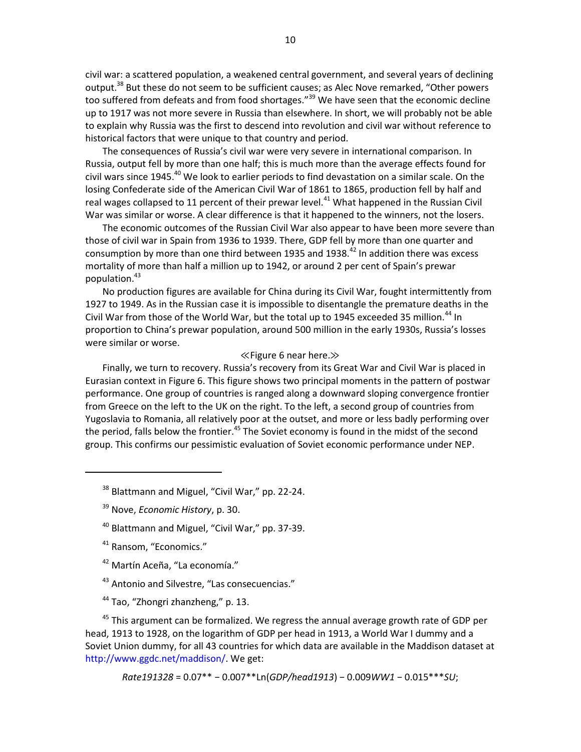civil war: a scattered population, a weakened central government, and several years of declining output.<sup>38</sup> But these do not seem to be sufficient causes; as Alec Nove remarked, "Other powers too suffered from defeats and from food shortages."<sup>39</sup> We have seen that the economic decline up to 1917 was not more severe in Russia than elsewhere. In short, we will probably not be able to explain why Russia was the first to descend into revolution and civil war without reference to historical factors that were unique to that country and period.

The consequences of Russia's civil war were very severe in international comparison. In Russia, output fell by more than one half; this is much more than the average effects found for civil wars since 1945.<sup>40</sup> We look to earlier periods to find devastation on a similar scale. On the losing Confederate side of the American Civil War of 1861 to 1865, production fell by half and real wages collapsed to 11 percent of their prewar level.<sup>41</sup> What happened in the Russian Civil War was similar or worse. A clear difference is that it happened to the winners, not the losers.

The economic outcomes of the Russian Civil War also appear to have been more severe than those of civil war in Spain from 1936 to 1939. There, GDP fell by more than one quarter and consumption by more than one third between 1935 and 1938.<sup>42</sup> In addition there was excess mortality of more than half a million up to 1942, or around 2 per cent of Spain's prewar population.<sup>43</sup>

No production figures are available for China during its Civil War, fought intermittently from 1927 to 1949. As in the Russian case it is impossible to disentangle the premature deaths in the Civil War from those of the World War, but the total up to 1945 exceeded 35 million.<sup>44</sup> In proportion to China's prewar population, around 500 million in the early 1930s, Russia's losses were similar or worse.

### ≪Figure 6 near here.≫

Finally, we turn to recovery. Russia's recovery from its Great War and Civil War is placed in Eurasian context in Figure 6. This figure shows two principal moments in the pattern of postwar performance. One group of countries is ranged along a downward sloping convergence frontier from Greece on the left to the UK on the right. To the left, a second group of countries from Yugoslavia to Romania, all relatively poor at the outset, and more or less badly performing over the period, falls below the frontier.<sup>45</sup> The Soviet economy is found in the midst of the second group. This confirms our pessimistic evaluation of Soviet economic performance under NEP.

<sup>38</sup> Blattmann and Miguel, "Civil War," pp. 22-24.

- <sup>42</sup> Martín Aceña, "La economía."
- <sup>43</sup> Antonio and Silvestre, "Las consecuencias."
- <sup>44</sup> Tao, "Zhongri zhanzheng," p. 13.

 $45$  This argument can be formalized. We regress the annual average growth rate of GDP per head, 1913 to 1928, on the logarithm of GDP per head in 1913, a World War I dummy and a Soviet Union dummy, for all 43 countries for which data are available in the Maddison dataset at http://www.ggdc.net/maddison/. We get:

*Rate191328* = 0.07\*\* − 0.007\*\*Ln(*GDP/head1913*) − 0.009*WW1* − 0.015\*\*\**SU*;

<sup>39</sup> Nove, *Economic History*, p. 30.

<sup>&</sup>lt;sup>40</sup> Blattmann and Miguel, "Civil War," pp. 37-39.

<sup>&</sup>lt;sup>41</sup> Ransom, "Economics."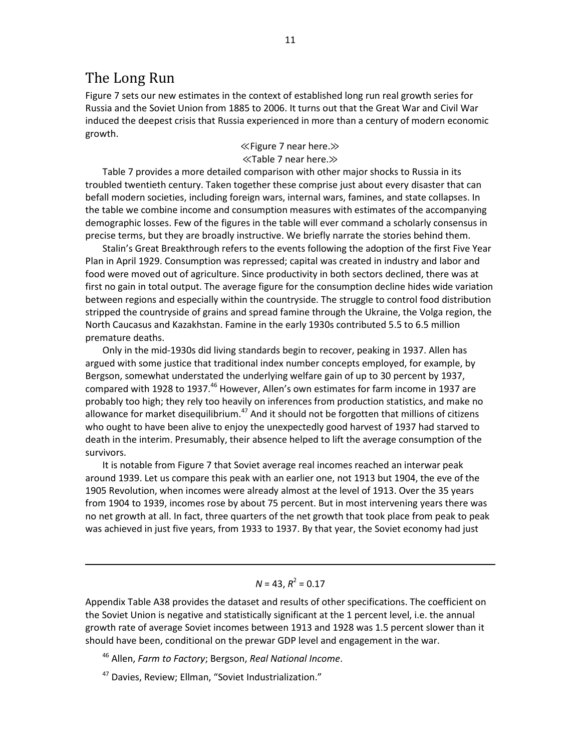## The Long Run

Figure 7 sets our new estimates in the context of established long run real growth series for Russia and the Soviet Union from 1885 to 2006. It turns out that the Great War and Civil War induced the deepest crisis that Russia experienced in more than a century of modern economic growth.

## ≪Figure 7 near here.≫ ≪Table 7 near here.≫

Table 7 provides a more detailed comparison with other major shocks to Russia in its troubled twentieth century. Taken together these comprise just about every disaster that can befall modern societies, including foreign wars, internal wars, famines, and state collapses. In the table we combine income and consumption measures with estimates of the accompanying demographic losses. Few of the figures in the table will ever command a scholarly consensus in precise terms, but they are broadly instructive. We briefly narrate the stories behind them.

Stalin's Great Breakthrough refers to the events following the adoption of the first Five Year Plan in April 1929. Consumption was repressed; capital was created in industry and labor and food were moved out of agriculture. Since productivity in both sectors declined, there was at first no gain in total output. The average figure for the consumption decline hides wide variation between regions and especially within the countryside. The struggle to control food distribution stripped the countryside of grains and spread famine through the Ukraine, the Volga region, the North Caucasus and Kazakhstan. Famine in the early 1930s contributed 5.5 to 6.5 million premature deaths.

Only in the mid-1930s did living standards begin to recover, peaking in 1937. Allen has argued with some justice that traditional index number concepts employed, for example, by Bergson, somewhat understated the underlying welfare gain of up to 30 percent by 1937, compared with 1928 to 1937.<sup>46</sup> However, Allen's own estimates for farm income in 1937 are probably too high; they rely too heavily on inferences from production statistics, and make no allowance for market disequilibrium. $47$  And it should not be forgotten that millions of citizens who ought to have been alive to enjoy the unexpectedly good harvest of 1937 had starved to death in the interim. Presumably, their absence helped to lift the average consumption of the survivors.

It is notable from Figure 7 that Soviet average real incomes reached an interwar peak around 1939. Let us compare this peak with an earlier one, not 1913 but 1904, the eve of the 1905 Revolution, when incomes were already almost at the level of 1913. Over the 35 years from 1904 to 1939, incomes rose by about 75 percent. But in most intervening years there was no net growth at all. In fact, three quarters of the net growth that took place from peak to peak was achieved in just five years, from 1933 to 1937. By that year, the Soviet economy had just

## $N = 43, R^2 = 0.17$

Appendix Table A38 provides the dataset and results of other specifications. The coefficient on the Soviet Union is negative and statistically significant at the 1 percent level, i.e. the annual growth rate of average Soviet incomes between 1913 and 1928 was 1.5 percent slower than it should have been, conditional on the prewar GDP level and engagement in the war.

<sup>46</sup> Allen, *Farm to Factory*; Bergson, *Real National Income*.

<sup>47</sup> Davies, Review; Ellman, "Soviet Industrialization."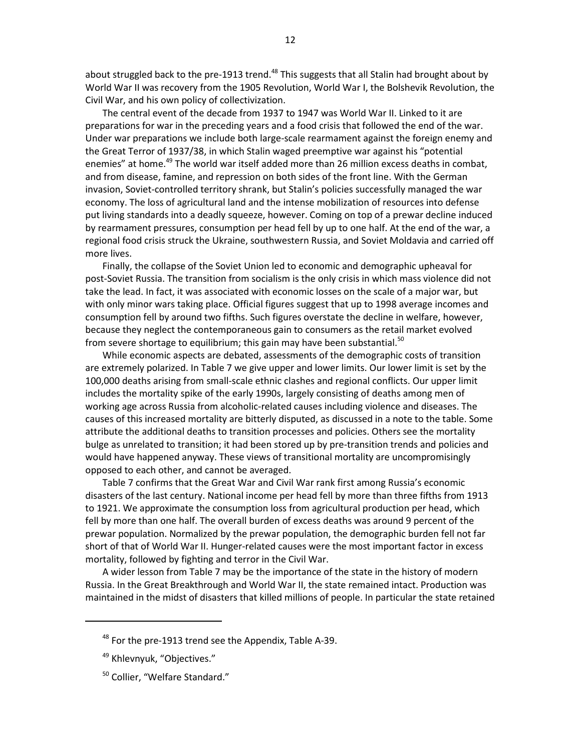about struggled back to the pre-1913 trend.<sup>48</sup> This suggests that all Stalin had brought about by World War II was recovery from the 1905 Revolution, World War I, the Bolshevik Revolution, the Civil War, and his own policy of collectivization.

The central event of the decade from 1937 to 1947 was World War II. Linked to it are preparations for war in the preceding years and a food crisis that followed the end of the war. Under war preparations we include both large-scale rearmament against the foreign enemy and the Great Terror of 1937/38, in which Stalin waged preemptive war against his "potential enemies" at home.<sup>49</sup> The world war itself added more than 26 million excess deaths in combat, and from disease, famine, and repression on both sides of the front line. With the German invasion, Soviet-controlled territory shrank, but Stalin's policies successfully managed the war economy. The loss of agricultural land and the intense mobilization of resources into defense put living standards into a deadly squeeze, however. Coming on top of a prewar decline induced by rearmament pressures, consumption per head fell by up to one half. At the end of the war, a regional food crisis struck the Ukraine, southwestern Russia, and Soviet Moldavia and carried off more lives.

Finally, the collapse of the Soviet Union led to economic and demographic upheaval for post-Soviet Russia. The transition from socialism is the only crisis in which mass violence did not take the lead. In fact, it was associated with economic losses on the scale of a major war, but with only minor wars taking place. Official figures suggest that up to 1998 average incomes and consumption fell by around two fifths. Such figures overstate the decline in welfare, however, because they neglect the contemporaneous gain to consumers as the retail market evolved from severe shortage to equilibrium; this gain may have been substantial.<sup>50</sup>

While economic aspects are debated, assessments of the demographic costs of transition are extremely polarized. In Table 7 we give upper and lower limits. Our lower limit is set by the 100,000 deaths arising from small-scale ethnic clashes and regional conflicts. Our upper limit includes the mortality spike of the early 1990s, largely consisting of deaths among men of working age across Russia from alcoholic-related causes including violence and diseases. The causes of this increased mortality are bitterly disputed, as discussed in a note to the table. Some attribute the additional deaths to transition processes and policies. Others see the mortality bulge as unrelated to transition; it had been stored up by pre-transition trends and policies and would have happened anyway. These views of transitional mortality are uncompromisingly opposed to each other, and cannot be averaged.

Table 7 confirms that the Great War and Civil War rank first among Russia's economic disasters of the last century. National income per head fell by more than three fifths from 1913 to 1921. We approximate the consumption loss from agricultural production per head, which fell by more than one half. The overall burden of excess deaths was around 9 percent of the prewar population. Normalized by the prewar population, the demographic burden fell not far short of that of World War II. Hunger-related causes were the most important factor in excess mortality, followed by fighting and terror in the Civil War.

A wider lesson from Table 7 may be the importance of the state in the history of modern Russia. In the Great Breakthrough and World War II, the state remained intact. Production was maintained in the midst of disasters that killed millions of people. In particular the state retained

 $48$  For the pre-1913 trend see the Appendix, Table A-39.

<sup>&</sup>lt;sup>49</sup> Khlevnyuk, "Objectives."

<sup>&</sup>lt;sup>50</sup> Collier, "Welfare Standard."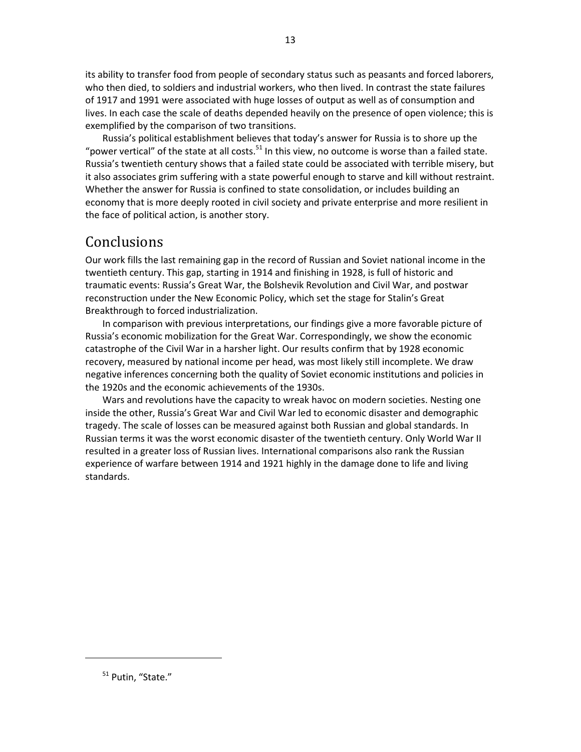its ability to transfer food from people of secondary status such as peasants and forced laborers, who then died, to soldiers and industrial workers, who then lived. In contrast the state failures of 1917 and 1991 were associated with huge losses of output as well as of consumption and lives. In each case the scale of deaths depended heavily on the presence of open violence; this is exemplified by the comparison of two transitions.

Russia's political establishment believes that today's answer for Russia is to shore up the "power vertical" of the state at all costs.<sup>51</sup> In this view, no outcome is worse than a failed state. Russia's twentieth century shows that a failed state could be associated with terrible misery, but it also associates grim suffering with a state powerful enough to starve and kill without restraint. Whether the answer for Russia is confined to state consolidation, or includes building an economy that is more deeply rooted in civil society and private enterprise and more resilient in the face of political action, is another story.

## Conclusions

Our work fills the last remaining gap in the record of Russian and Soviet national income in the twentieth century. This gap, starting in 1914 and finishing in 1928, is full of historic and traumatic events: Russia's Great War, the Bolshevik Revolution and Civil War, and postwar reconstruction under the New Economic Policy, which set the stage for Stalin's Great Breakthrough to forced industrialization.

In comparison with previous interpretations, our findings give a more favorable picture of Russia's economic mobilization for the Great War. Correspondingly, we show the economic catastrophe of the Civil War in a harsher light. Our results confirm that by 1928 economic recovery, measured by national income per head, was most likely still incomplete. We draw negative inferences concerning both the quality of Soviet economic institutions and policies in the 1920s and the economic achievements of the 1930s.

Wars and revolutions have the capacity to wreak havoc on modern societies. Nesting one inside the other, Russia's Great War and Civil War led to economic disaster and demographic tragedy. The scale of losses can be measured against both Russian and global standards. In Russian terms it was the worst economic disaster of the twentieth century. Only World War II resulted in a greater loss of Russian lives. International comparisons also rank the Russian experience of warfare between 1914 and 1921 highly in the damage done to life and living standards.

<sup>&</sup>lt;sup>51</sup> Putin, "State."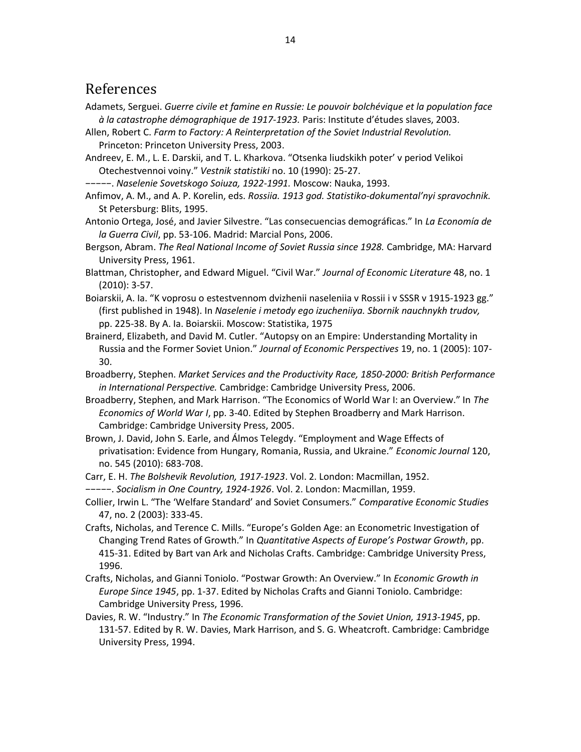## References

- Adamets, Serguei. *Guerre civile et famine en Russie: Le pouvoir bolchévique et la population face à la catastrophe démographique de 1917-1923.* Paris: Institute d'études slaves, 2003.
- Allen, Robert C. *Farm to Factory: A Reinterpretation of the Soviet Industrial Revolution.* Princeton: Princeton University Press, 2003.
- Andreev, E. M., L. E. Darskii, and T. L. Kharkova. "Otsenka liudskikh poter' v period Velikoi Otechestvennoi voiny." *Vestnik statistiki* no. 10 (1990): 25-27.
- −−−−−. *Naselenie Sovetskogo Soiuza, 1922-1991.* Moscow: Nauka, 1993.
- Anfimov, A. M., and A. P. Korelin, eds. *Rossiia. 1913 god. Statistiko-dokumental'nyi spravochnik.* St Petersburg: Blits, 1995.
- Antonio Ortega, José, and Javier Silvestre. "Las consecuencias demográficas." In *La Economía de la Guerra Civil*, pp. 53-106. Madrid: Marcial Pons, 2006.
- Bergson, Abram. *The Real National Income of Soviet Russia since 1928.* Cambridge, MA: Harvard University Press, 1961.
- Blattman, Christopher, and Edward Miguel. "Civil War." *Journal of Economic Literature* 48, no. 1 (2010): 3-57.
- Boiarskii, A. Ia. "K voprosu o estestvennom dvizhenii naseleniia v Rossii i v SSSR v 1915-1923 gg." (first published in 1948). In *Naselenie i metody ego izucheniiya. Sbornik nauchnykh trudov,* pp. 225-38. By A. Ia. Boiarskii. Moscow: Statistika, 1975
- Brainerd, Elizabeth, and David M. Cutler. "Autopsy on an Empire: Understanding Mortality in Russia and the Former Soviet Union." *Journal of Economic Perspectives* 19, no. 1 (2005): 107- 30.
- Broadberry, Stephen. *Market Services and the Productivity Race, 1850-2000: British Performance in International Perspective.* Cambridge: Cambridge University Press, 2006.
- Broadberry, Stephen, and Mark Harrison. "The Economics of World War I: an Overview." In *The Economics of World War I*, pp. 3-40. Edited by Stephen Broadberry and Mark Harrison. Cambridge: Cambridge University Press, 2005.
- Brown, J. David, John S. Earle, and Álmos Telegdy. "Employment and Wage Effects of privatisation: Evidence from Hungary, Romania, Russia, and Ukraine." *Economic Journal* 120, no. 545 (2010): 683-708.
- Carr, E. H. *The Bolshevik Revolution, 1917-1923*. Vol. 2. London: Macmillan, 1952.
- −−−−−. *Socialism in One Country, 1924-1926*. Vol. 2. London: Macmillan, 1959.
- Collier, Irwin L. "The 'Welfare Standard' and Soviet Consumers." *Comparative Economic Studies* 47, no. 2 (2003): 333-45.
- Crafts, Nicholas, and Terence C. Mills. "Europe's Golden Age: an Econometric Investigation of Changing Trend Rates of Growth." In *Quantitative Aspects of Europe's Postwar Growth*, pp. 415-31. Edited by Bart van Ark and Nicholas Crafts. Cambridge: Cambridge University Press, 1996.
- Crafts, Nicholas, and Gianni Toniolo. "Postwar Growth: An Overview." In *Economic Growth in Europe Since 1945*, pp. 1-37. Edited by Nicholas Crafts and Gianni Toniolo. Cambridge: Cambridge University Press, 1996.
- Davies, R. W. "Industry." In *The Economic Transformation of the Soviet Union, 1913-1945*, pp. 131-57. Edited by R. W. Davies, Mark Harrison, and S. G. Wheatcroft. Cambridge: Cambridge University Press, 1994.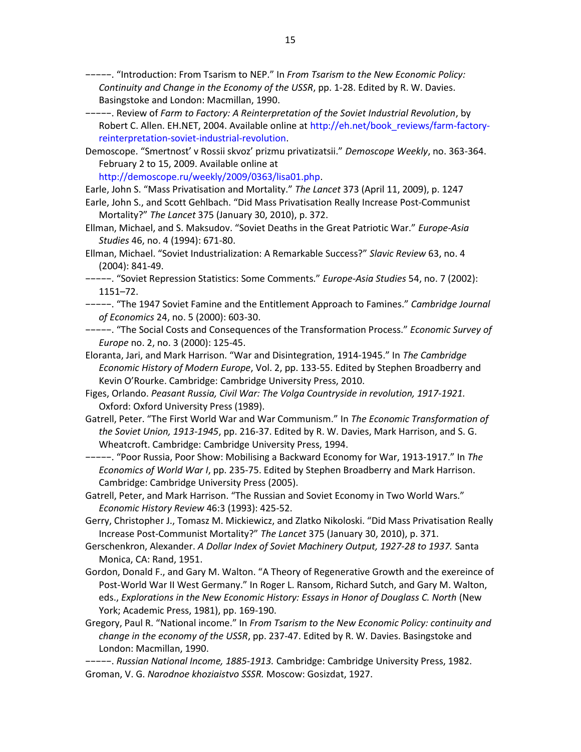−−−−−. "Introduction: From Tsarism to NEP." In *From Tsarism to the New Economic Policy: Continuity and Change in the Economy of the USSR*, pp. 1-28. Edited by R. W. Davies. Basingstoke and London: Macmillan, 1990.

- −−−−−. Review of *Farm to Factory: A Reinterpretation of the Soviet Industrial Revolution*, by Robert C. Allen. EH.NET, 2004. Available online at http://eh.net/book\_reviews/farm-factoryreinterpretation-soviet-industrial-revolution.
- Demoscope. "Smertnost' v Rossii skvoz' prizmu privatizatsii." *Demoscope Weekly*, no. 363-364. February 2 to 15, 2009. Available online at

http://demoscope.ru/weekly/2009/0363/lisa01.php.

Earle, John S. "Mass Privatisation and Mortality." *The Lancet* 373 (April 11, 2009), p. 1247

- Earle, John S., and Scott Gehlbach. "Did Mass Privatisation Really Increase Post-Communist Mortality?" *The Lancet* 375 (January 30, 2010), p. 372.
- Ellman, Michael, and S. Maksudov. "Soviet Deaths in the Great Patriotic War." *Europe-Asia Studies* 46, no. 4 (1994): 671-80.
- Ellman, Michael. "Soviet Industrialization: A Remarkable Success?" *Slavic Review* 63, no. 4 (2004): 841-49.

−−−−−. "Soviet Repression Statistics: Some Comments." *Europe-Asia Studies* 54, no. 7 (2002): 1151–72.

- −−−−−. "The 1947 Soviet Famine and the Entitlement Approach to Famines." *Cambridge Journal of Economics* 24, no. 5 (2000): 603-30.
- −−−−−. "The Social Costs and Consequences of the Transformation Process." *Economic Survey of Europe* no. 2, no. 3 (2000): 125-45.
- Eloranta, Jari, and Mark Harrison. "War and Disintegration, 1914-1945." In *The Cambridge Economic History of Modern Europe*, Vol. 2, pp. 133-55. Edited by Stephen Broadberry and Kevin O'Rourke. Cambridge: Cambridge University Press, 2010.
- Figes, Orlando. *Peasant Russia, Civil War: The Volga Countryside in revolution, 1917-1921.* Oxford: Oxford University Press (1989).

Gatrell, Peter. "The First World War and War Communism." In *The Economic Transformation of the Soviet Union, 1913-1945*, pp. 216-37. Edited by R. W. Davies, Mark Harrison, and S. G. Wheatcroft. Cambridge: Cambridge University Press, 1994.

−−−−−. "Poor Russia, Poor Show: Mobilising a Backward Economy for War, 1913-1917." In *The Economics of World War I*, pp. 235-75. Edited by Stephen Broadberry and Mark Harrison. Cambridge: Cambridge University Press (2005).

Gatrell, Peter, and Mark Harrison. "The Russian and Soviet Economy in Two World Wars." *Economic History Review* 46:3 (1993): 425-52.

- Gerry, Christopher J., Tomasz M. Mickiewicz, and Zlatko Nikoloski. "Did Mass Privatisation Really Increase Post-Communist Mortality?" *The Lancet* 375 (January 30, 2010), p. 371.
- Gerschenkron, Alexander. *A Dollar Index of Soviet Machinery Output, 1927-28 to 1937.* Santa Monica, CA: Rand, 1951.
- Gordon, Donald F., and Gary M. Walton. "A Theory of Regenerative Growth and the exereince of Post-World War II West Germany." In Roger L. Ransom, Richard Sutch, and Gary M. Walton, eds., *Explorations in the New Economic History: Essays in Honor of Douglass C. North* (New York; Academic Press, 1981), pp. 169-190.
- Gregory, Paul R. "National income." In *From Tsarism to the New Economic Policy: continuity and change in the economy of the USSR*, pp. 237-47. Edited by R. W. Davies. Basingstoke and London: Macmillan, 1990.
- −−−−−. *Russian National Income, 1885-1913.* Cambridge: Cambridge University Press, 1982. Groman, V. G. *Narodnoe khoziaistvo SSSR.* Moscow: Gosizdat, 1927.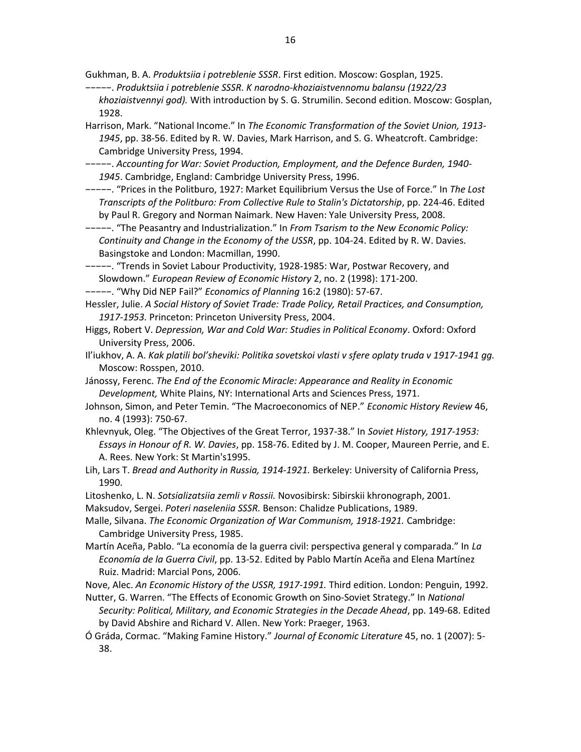Gukhman, B. A. *Produktsiia i potreblenie SSSR*. First edition. Moscow: Gosplan, 1925.

- −−−−−. *Produktsiia i potreblenie SSSR. K narodno-khoziaistvennomu balansu (1922/23 khoziaistvennyi god).* With introduction by S. G. Strumilin. Second edition. Moscow: Gosplan, 1928.
- Harrison, Mark. "National Income." In *The Economic Transformation of the Soviet Union, 1913- 1945*, pp. 38-56. Edited by R. W. Davies, Mark Harrison, and S. G. Wheatcroft. Cambridge: Cambridge University Press, 1994.
- −−−−−. *Accounting for War: Soviet Production, Employment, and the Defence Burden, 1940- 1945*. Cambridge, England: Cambridge University Press, 1996.
- −−−−−. "Prices in the Politburo, 1927: Market Equilibrium Versus the Use of Force." In *The Lost Transcripts of the Politburo: From Collective Rule to Stalin's Dictatorship*, pp. 224-46. Edited by Paul R. Gregory and Norman Naimark. New Haven: Yale University Press, 2008.
- −−−−−. "The Peasantry and Industrialization." In *From Tsarism to the New Economic Policy: Continuity and Change in the Economy of the USSR*, pp. 104-24. Edited by R. W. Davies. Basingstoke and London: Macmillan, 1990.
- −−−−−. "Trends in Soviet Labour Productivity, 1928-1985: War, Postwar Recovery, and Slowdown." *European Review of Economic History* 2, no. 2 (1998): 171-200.

−−−−−. "Why Did NEP Fail?" *Economics of Planning* 16:2 (1980): 57-67.

- Hessler, Julie. *A Social History of Soviet Trade: Trade Policy, Retail Practices, and Consumption, 1917-1953.* Princeton: Princeton University Press, 2004.
- Higgs, Robert V. *Depression, War and Cold War: Studies in Political Economy*. Oxford: Oxford University Press, 2006.
- Il'iukhov, A. A. *Kak platili bol'sheviki: Politika sovetskoi vlasti v sfere oplaty truda v 1917-1941 gg.* Moscow: Rosspen, 2010.
- Jánossy, Ferenc. *The End of the Economic Miracle: Appearance and Reality in Economic Development,* White Plains, NY: International Arts and Sciences Press, 1971.
- Johnson, Simon, and Peter Temin. "The Macroeconomics of NEP." *Economic History Review* 46, no. 4 (1993): 750-67.
- Khlevnyuk, Oleg. "The Objectives of the Great Terror, 1937-38." In *Soviet History, 1917-1953: Essays in Honour of R. W. Davies*, pp. 158-76. Edited by J. M. Cooper, Maureen Perrie, and E. A. Rees. New York: St Martin's1995.
- Lih, Lars T. *Bread and Authority in Russia, 1914-1921.* Berkeley: University of California Press, 1990.
- Litoshenko, L. N. *Sotsializatsiia zemli v Rossii.* Novosibirsk: Sibirskii khronograph, 2001.
- Maksudov, Sergei. *Poteri naseleniia SSSR.* Benson: Chalidze Publications, 1989.
- Malle, Silvana. *The Economic Organization of War Communism, 1918-1921.* Cambridge: Cambridge University Press, 1985.
- Martín Aceña, Pablo. "La economía de la guerra civil: perspectiva general y comparada." In *La Economía de la Guerra Civil*, pp. 13-52. Edited by Pablo Martín Aceña and Elena Martínez Ruiz. Madrid: Marcial Pons, 2006.

Nove, Alec. *An Economic History of the USSR, 1917-1991.* Third edition. London: Penguin, 1992.

- Nutter, G. Warren. "The Effects of Economic Growth on Sino-Soviet Strategy." In *National Security: Political, Military, and Economic Strategies in the Decade Ahead*, pp. 149-68. Edited by David Abshire and Richard V. Allen. New York: Praeger, 1963.
- Ó Gráda, Cormac. "Making Famine History." *Journal of Economic Literature* 45, no. 1 (2007): 5- 38.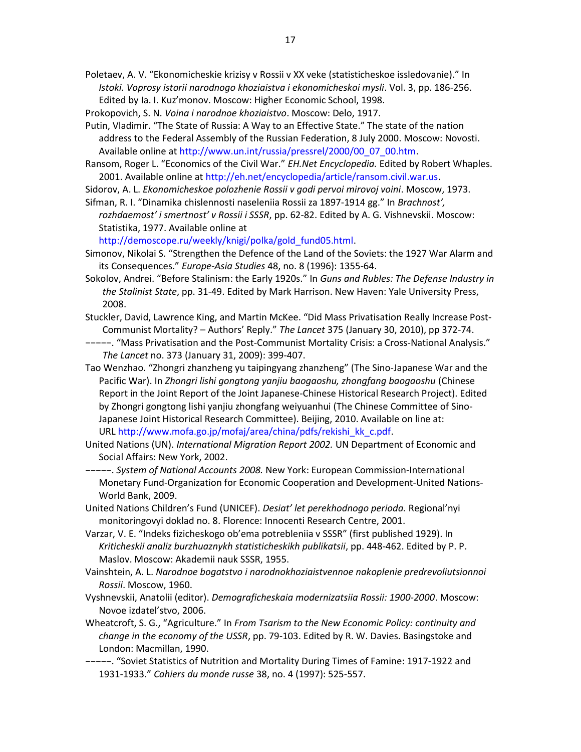Poletaev, A. V. "Ekonomicheskie krizisy v Rossii v XX veke (statisticheskoe issledovanie)." In *Istoki. Voprosy istorii narodnogo khoziaistva i ekonomicheskoi mysli*. Vol. 3, pp. 186-256. Edited by Ia. I. Kuz'monov. Moscow: Higher Economic School, 1998.

- Prokopovich, S. N. *Voina i narodnoe khoziaistvo*. Moscow: Delo, 1917.
- Putin, Vladimir. "The State of Russia: A Way to an Effective State." The state of the nation address to the Federal Assembly of the Russian Federation, 8 July 2000. Moscow: Novosti. Available online at http://www.un.int/russia/pressrel/2000/00\_07\_00.htm.
- Ransom, Roger L. "Economics of the Civil War." *EH.Net Encyclopedia.* Edited by Robert Whaples. 2001. Available online at http://eh.net/encyclopedia/article/ransom.civil.war.us.
- Sidorov, A. L. *Ekonomicheskoe polozhenie Rossii v godi pervoi mirovoj voini*. Moscow, 1973. Sifman, R. I. "Dinamika chislennosti naseleniia Rossii za 1897-1914 gg." In *Brachnost',*
- *rozhdaemost' i smertnost' v Rossii i SSSR*, pp. 62-82. Edited by A. G. Vishnevskii. Moscow: Statistika, 1977. Available online at

http://demoscope.ru/weekly/knigi/polka/gold\_fund05.html.

- Simonov, Nikolai S. "Strengthen the Defence of the Land of the Soviets: the 1927 War Alarm and its Consequences." *Europe-Asia Studies* 48, no. 8 (1996): 1355-64.
- Sokolov, Andrei. "Before Stalinism: the Early 1920s." In *Guns and Rubles: The Defense Industry in the Stalinist State*, pp. 31-49. Edited by Mark Harrison. New Haven: Yale University Press, 2008.
- Stuckler, David, Lawrence King, and Martin McKee. "Did Mass Privatisation Really Increase Post-Communist Mortality? – Authors' Reply." *The Lancet* 375 (January 30, 2010), pp 372-74.
- −−−−−. "Mass Privatisation and the Post-Communist Mortality Crisis: a Cross-National Analysis." *The Lancet* no. 373 (January 31, 2009): 399-407.
- Tao Wenzhao. "Zhongri zhanzheng yu taipingyang zhanzheng" (The Sino-Japanese War and the Pacific War). In *Zhongri lishi gongtong yanjiu baogaoshu, zhongfang baogaoshu* (Chinese Report in the Joint Report of the Joint Japanese-Chinese Historical Research Project). Edited by Zhongri gongtong lishi yanjiu zhongfang weiyuanhui (The Chinese Committee of Sino-Japanese Joint Historical Research Committee). Beijing, 2010. Available on line at: URL http://www.mofa.go.jp/mofaj/area/china/pdfs/rekishi\_kk\_c.pdf.
- United Nations (UN). *International Migration Report 2002.* UN Department of Economic and Social Affairs: New York, 2002.
- −−−−−. *System of National Accounts 2008.* New York: European Commission-International Monetary Fund-Organization for Economic Cooperation and Development-United Nations-World Bank, 2009.
- United Nations Children's Fund (UNICEF). *Desiat' let perekhodnogo perioda.* Regional'nyi monitoringovyi doklad no. 8. Florence: Innocenti Research Centre, 2001.
- Varzar, V. E. "Indeks fizicheskogo ob'ema potrebleniia v SSSR" (first published 1929). In *Kriticheskii analiz burzhuaznykh statisticheskikh publikatsii*, pp. 448-462. Edited by P. P. Maslov. Moscow: Akademii nauk SSSR, 1955.
- Vainshtein, A. L. *Narodnoe bogatstvo i narodnokhoziaistvennoe nakoplenie predrevoliutsionnoi Rossii*. Moscow, 1960.
- Vyshnevskii, Anatolii (editor). *Demograficheskaia modernizatsiia Rossii: 1900-2000*. Moscow: Novoe izdatel'stvo, 2006.
- Wheatcroft, S. G., "Agriculture." In *From Tsarism to the New Economic Policy: continuity and change in the economy of the USSR*, pp. 79-103. Edited by R. W. Davies. Basingstoke and London: Macmillan, 1990.
- −−−−−. "Soviet Statistics of Nutrition and Mortality During Times of Famine: 1917-1922 and 1931-1933." *Cahiers du monde russe* 38, no. 4 (1997): 525-557.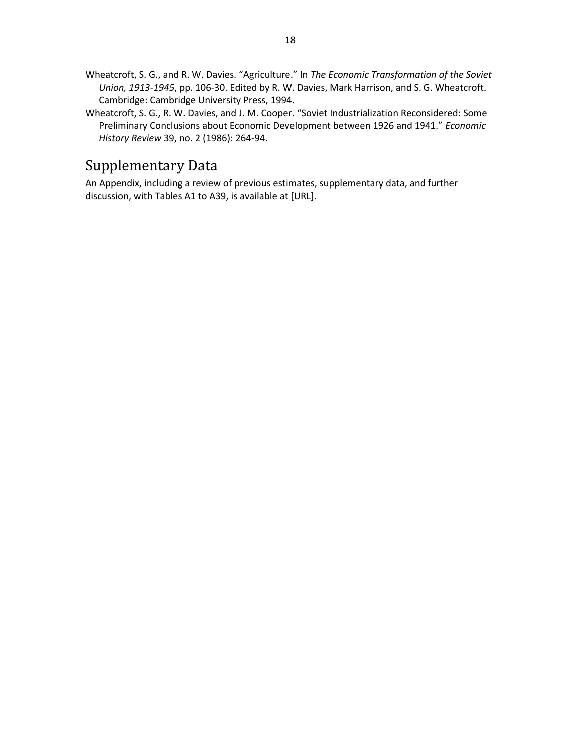- Wheatcroft, S. G., and R. W. Davies. "Agriculture." In *The Economic Transformation of the Soviet Union, 1913-1945*, pp. 106-30. Edited by R. W. Davies, Mark Harrison, and S. G. Wheatcroft. Cambridge: Cambridge University Press, 1994.
- Wheatcroft, S. G., R. W. Davies, and J. M. Cooper. "Soviet Industrialization Reconsidered: Some Preliminary Conclusions about Economic Development between 1926 and 1941." *Economic History Review* 39, no. 2 (1986): 264-94.

## Supplementary Data

An Appendix, including a review of previous estimates, supplementary data, and further discussion, with Tables A1 to A39, is available at [URL].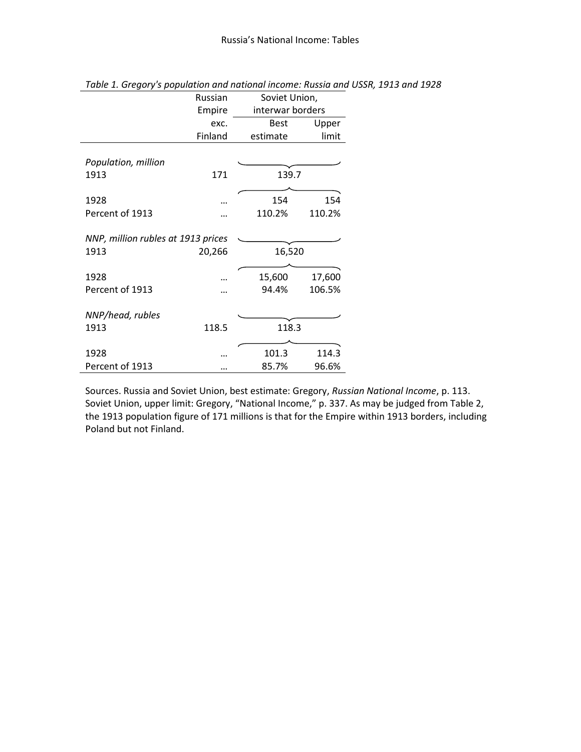|                                    | Russian | Soviet Union,    |        |  |  |
|------------------------------------|---------|------------------|--------|--|--|
|                                    | Empire  | interwar borders |        |  |  |
|                                    | exc.    | <b>Best</b>      | Upper  |  |  |
|                                    | Finland | estimate         | limit  |  |  |
|                                    |         |                  |        |  |  |
| Population, million                |         |                  |        |  |  |
| 1913                               | 171     | 139.7            |        |  |  |
|                                    |         |                  |        |  |  |
| 1928                               |         | 154              | 154    |  |  |
| Percent of 1913                    |         | 110.2%           | 110.2% |  |  |
|                                    |         |                  |        |  |  |
| NNP, million rubles at 1913 prices |         |                  |        |  |  |
| 1913                               | 20,266  | 16,520           |        |  |  |
|                                    |         |                  |        |  |  |
| 1928                               |         | 15,600           | 17,600 |  |  |
| Percent of 1913                    |         | 94.4%            | 106.5% |  |  |
|                                    |         |                  |        |  |  |
| NNP/head, rubles                   |         |                  |        |  |  |
| 1913                               | 118.5   | 118.3            |        |  |  |
|                                    |         |                  |        |  |  |
| 1928                               |         | 101.3            | 114.3  |  |  |
| Percent of 1913                    |         | 85.7%            | 96.6%  |  |  |

*Table 1. Gregory's population and national income: Russia and USSR, 1913 and 1928*

Sources. Russia and Soviet Union, best estimate: Gregory, *Russian National Income*, p. 113. Soviet Union, upper limit: Gregory, "National Income," p. 337. As may be judged from Table 2, the 1913 population figure of 171 millions is that for the Empire within 1913 borders, including Poland but not Finland.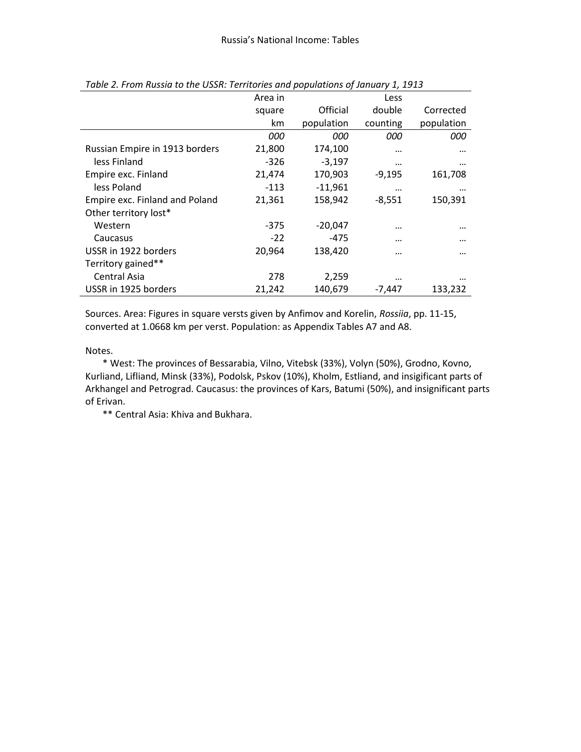|                                | Area in    |            | Less       |            |
|--------------------------------|------------|------------|------------|------------|
|                                | square     | Official   | double     | Corrected  |
|                                | km         | population | counting   | population |
|                                | <i>000</i> | 000        | <i>000</i> | 000        |
| Russian Empire in 1913 borders | 21,800     | 174,100    |            |            |
| less Finland                   | $-326$     | $-3,197$   |            |            |
| Empire exc. Finland            | 21,474     | 170,903    | $-9,195$   | 161,708    |
| less Poland                    | $-113$     | $-11,961$  | $\cdots$   | $\cdots$   |
| Empire exc. Finland and Poland | 21,361     | 158,942    | $-8,551$   | 150,391    |
| Other territory lost*          |            |            |            |            |
| Western                        | $-375$     | $-20,047$  |            |            |
| Caucasus                       | $-22$      | -475       |            |            |
| USSR in 1922 borders           | 20,964     | 138,420    |            |            |
| Territory gained**             |            |            |            |            |
| Central Asia                   | 278        | 2,259      | $\cdots$   |            |
| USSR in 1925 borders           | 21,242     | 140,679    | -7,447     | 133,232    |

*Table 2. From Russia to the USSR: Territories and populations of January 1, 1913*

Sources. Area: Figures in square versts given by Anfimov and Korelin, *Rossiia*, pp. 11-15, converted at 1.0668 km per verst. Population: as Appendix Tables A7 and A8.

Notes.

\* West: The provinces of Bessarabia, Vilno, Vitebsk (33%), Volyn (50%), Grodno, Kovno, Kurliand, Lifliand, Minsk (33%), Podolsk, Pskov (10%), Kholm, Estliand, and insigificant parts of Arkhangel and Petrograd. Caucasus: the provinces of Kars, Batumi (50%), and insignificant parts of Erivan.

\*\* Central Asia: Khiva and Bukhara.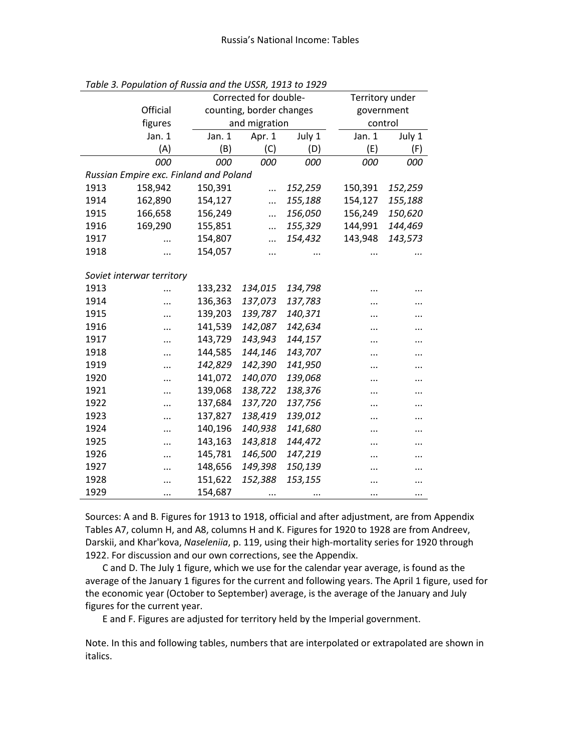| Corrected for double-<br>Territory under |                                        |         |                          |            |         |         |  |  |  |
|------------------------------------------|----------------------------------------|---------|--------------------------|------------|---------|---------|--|--|--|
|                                          | Official                               |         | counting, border changes | government |         |         |  |  |  |
|                                          | figures                                |         | and migration            | control    |         |         |  |  |  |
|                                          | Jan. 1                                 | Jan. 1  | Apr. 1                   | July 1     | Jan. 1  | July 1  |  |  |  |
|                                          | (A)                                    | (B)     | (C)                      | (D)        | (E)     | (F)     |  |  |  |
|                                          | 000                                    | 000     | 000                      | 000        | 000     | 000     |  |  |  |
|                                          | Russian Empire exc. Finland and Poland |         |                          |            |         |         |  |  |  |
| 1913                                     | 158,942                                | 150,391 |                          | 152,259    | 150,391 | 152,259 |  |  |  |
| 1914                                     | 162,890                                | 154,127 | .                        | 155,188    | 154,127 | 155,188 |  |  |  |
| 1915                                     | 166,658                                | 156,249 |                          | 156,050    | 156,249 | 150,620 |  |  |  |
| 1916                                     | 169,290                                | 155,851 |                          | 155,329    | 144,991 | 144,469 |  |  |  |
| 1917                                     |                                        | 154,807 | .                        | 154,432    | 143,948 | 143,573 |  |  |  |
| 1918                                     |                                        | 154,057 |                          |            |         |         |  |  |  |
|                                          |                                        |         |                          |            |         |         |  |  |  |
|                                          | Soviet interwar territory              |         |                          |            |         |         |  |  |  |
| 1913                                     |                                        | 133,232 | 134,015                  | 134,798    |         |         |  |  |  |
| 1914                                     |                                        | 136,363 | 137,073                  | 137,783    |         |         |  |  |  |
| 1915                                     | $\cdots$                               | 139,203 | 139,787                  | 140,371    |         |         |  |  |  |
| 1916                                     |                                        | 141,539 | 142,087                  | 142,634    |         |         |  |  |  |
| 1917                                     |                                        | 143,729 | 143,943                  | 144,157    |         |         |  |  |  |
| 1918                                     |                                        | 144,585 | 144,146                  | 143,707    |         |         |  |  |  |
| 1919                                     | $\cdot \cdot$                          | 142,829 | 142,390                  | 141,950    |         |         |  |  |  |
| 1920                                     |                                        | 141,072 | 140,070                  | 139,068    |         |         |  |  |  |
| 1921                                     |                                        | 139,068 | 138,722                  | 138,376    |         |         |  |  |  |
| 1922                                     |                                        | 137,684 | 137,720                  | 137,756    |         |         |  |  |  |
| 1923                                     |                                        | 137,827 | 138,419                  | 139,012    |         |         |  |  |  |
| 1924                                     |                                        | 140,196 | 140,938                  | 141,680    |         |         |  |  |  |
| 1925                                     |                                        | 143,163 | 143,818                  | 144,472    | .       |         |  |  |  |
| 1926                                     |                                        | 145,781 | 146,500                  | 147,219    |         |         |  |  |  |
| 1927                                     |                                        | 148,656 | 149,398                  | 150,139    |         |         |  |  |  |
| 1928                                     |                                        | 151,622 | 152,388                  | 153,155    |         |         |  |  |  |
| 1929                                     |                                        | 154,687 |                          | $\cdots$   |         |         |  |  |  |

*Table 3. Population of Russia and the USSR, 1913 to 1929*

Sources: A and B. Figures for 1913 to 1918, official and after adjustment, are from Appendix Tables A7, column H, and A8, columns H and K. Figures for 1920 to 1928 are from Andreev, Darskii, and Khar'kova, *Naseleniia*, p. 119, using their high-mortality series for 1920 through 1922. For discussion and our own corrections, see the Appendix.

C and D. The July 1 figure, which we use for the calendar year average, is found as the average of the January 1 figures for the current and following years. The April 1 figure, used for the economic year (October to September) average, is the average of the January and July figures for the current year.

E and F. Figures are adjusted for territory held by the Imperial government.

Note. In this and following tables, numbers that are interpolated or extrapolated are shown in italics.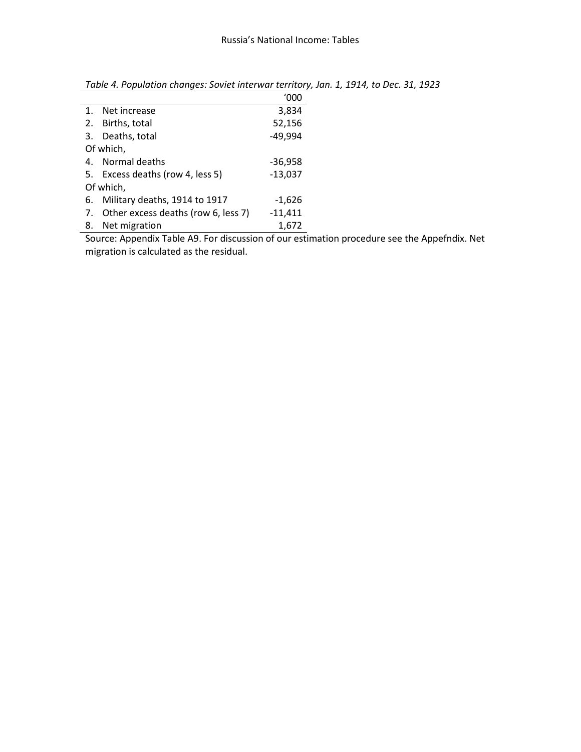|    |                                        | '000      |
|----|----------------------------------------|-----------|
| 1. | Net increase                           | 3,834     |
| 2. | Births, total                          | 52,156    |
|    | 3. Deaths, total                       | $-49,994$ |
|    | Of which,                              |           |
|    | 4. Normal deaths                       | $-36,958$ |
|    | 5. Excess deaths (row 4, less 5)       | $-13,037$ |
|    | Of which,                              |           |
| 6. | Military deaths, 1914 to 1917          | $-1,626$  |
|    | 7. Other excess deaths (row 6, less 7) | $-11,411$ |
| 8. | Net migration                          | 1,672     |

*Table 4. Population changes: Soviet interwar territory, Jan. 1, 1914, to Dec. 31, 1923*

Source: Appendix Table A9. For discussion of our estimation procedure see the Appefndix. Net migration is calculated as the residual.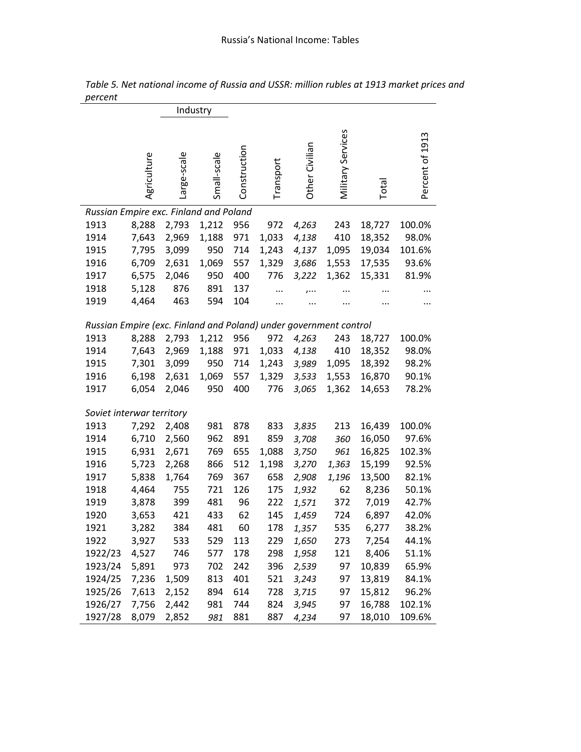|                                                                   |             | Industry    |             |              |           |                |                   |        |                 |
|-------------------------------------------------------------------|-------------|-------------|-------------|--------------|-----------|----------------|-------------------|--------|-----------------|
|                                                                   | Agriculture | Large-scale | Small-scale | Construction | Transport | Other Civilian | Military Services | Total  | Percent of 1913 |
| Russian Empire exc. Finland and Poland                            |             |             |             |              |           |                |                   |        |                 |
| 1913                                                              | 8,288       | 2,793       | 1,212       | 956          | 972       | 4,263          | 243               | 18,727 | 100.0%          |
| 1914                                                              | 7,643       | 2,969       | 1,188       | 971          | 1,033     | 4,138          | 410               | 18,352 | 98.0%           |
| 1915                                                              | 7,795       | 3,099       | 950         | 714          | 1,243     | 4,137          | 1,095             | 19,034 | 101.6%          |
| 1916                                                              | 6,709       | 2,631       | 1,069       | 557          | 1,329     | 3,686          | 1,553             | 17,535 | 93.6%           |
| 1917                                                              | 6,575       | 2,046       | 950         | 400          | 776       | 3,222          | 1,362             | 15,331 | 81.9%           |
| 1918                                                              | 5,128       | 876         | 891         | 137          |           | $, \ldots$     |                   |        |                 |
| 1919                                                              | 4,464       | 463         | 594         | 104          | $\cdots$  |                |                   |        |                 |
|                                                                   |             |             |             |              |           |                |                   |        |                 |
| Russian Empire (exc. Finland and Poland) under government control |             |             |             |              |           |                |                   |        |                 |
| 1913                                                              | 8,288       | 2,793       | 1,212       | 956          | 972       | 4,263          | 243               | 18,727 | 100.0%          |
| 1914                                                              | 7,643       | 2,969       | 1,188       | 971          | 1,033     | 4,138          | 410               | 18,352 | 98.0%           |
| 1915                                                              | 7,301       | 3,099       | 950         | 714          | 1,243     | 3,989          | 1,095             | 18,392 | 98.2%           |
| 1916                                                              | 6,198       | 2,631       | 1,069       | 557          | 1,329     | 3,533          | 1,553             | 16,870 | 90.1%           |
| 1917                                                              | 6,054       | 2,046       | 950         | 400          | 776       | 3,065          | 1,362             | 14,653 | 78.2%           |
|                                                                   |             |             |             |              |           |                |                   |        |                 |
| Soviet interwar territory                                         |             |             |             |              |           |                |                   |        |                 |
| 1913                                                              | 7,292       | 2,408       | 981         | 878          | 833       | 3,835          | 213               | 16,439 | 100.0%          |
| 1914                                                              | 6,710       | 2,560       | 962         | 891          | 859       | 3,708          | 360               | 16,050 | 97.6%           |
| 1915                                                              | 6,931       | 2,671       | 769         | 655          | 1,088     | 3,750          | 961               | 16,825 | 102.3%          |
| 1916                                                              | 5,723       | 2,268       | 866         | 512          | 1,198     | 3,270          | 1,363             | 15,199 | 92.5%           |
| 1917                                                              | 5,838       | 1,764       | 769         | 367          | 658       | 2,908          | 1,196             | 13,500 | 82.1%           |
| 1918                                                              | 4,464       | 755         | 721         | 126          | 175       | 1,932          | 62                | 8,236  | 50.1%           |
| 1919                                                              | 3,878       | 399         | 481         | 96           | 222       | 1,571          | 372               | 7,019  | 42.7%           |
| 1920                                                              | 3,653       | 421         | 433         | 62           | 145       | 1,459          | 724               | 6,897  | 42.0%           |
| 1921                                                              | 3,282       | 384         | 481         | 60           | 178       | 1,357          | 535               | 6,277  | 38.2%           |
| 1922                                                              | 3,927       | 533         | 529         | 113          | 229       | 1,650          | 273               | 7,254  | 44.1%           |
| 1922/23                                                           | 4,527       | 746         | 577         | 178          | 298       | 1,958          | 121               | 8,406  | 51.1%           |
| 1923/24                                                           | 5,891       | 973         | 702         | 242          | 396       | 2,539          | 97                | 10,839 | 65.9%           |
| 1924/25                                                           | 7,236       | 1,509       | 813         | 401          | 521       | 3,243          | 97                | 13,819 | 84.1%           |
| 1925/26                                                           | 7,613       | 2,152       | 894         | 614          | 728       | 3,715          | 97                | 15,812 | 96.2%           |
| 1926/27                                                           | 7,756       | 2,442       | 981         | 744          | 824       | 3,945          | 97                | 16,788 | 102.1%          |
| 1927/28                                                           | 8,079       | 2,852       | 981         | 881          | 887       | 4,234          | 97                | 18,010 | 109.6%          |

*Table 5. Net national income of Russia and USSR: million rubles at 1913 market prices and percent*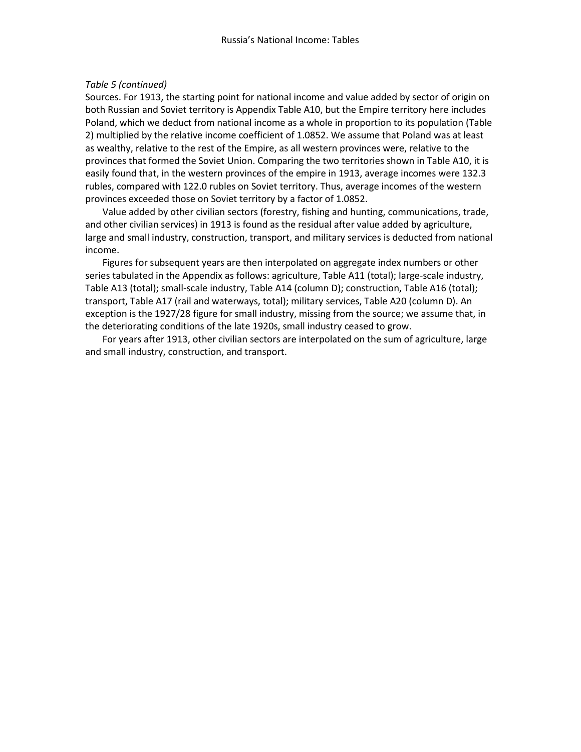### *Table 5 (continued)*

Sources. For 1913, the starting point for national income and value added by sector of origin on both Russian and Soviet territory is Appendix Table A10, but the Empire territory here includes Poland, which we deduct from national income as a whole in proportion to its population (Table 2) multiplied by the relative income coefficient of 1.0852. We assume that Poland was at least as wealthy, relative to the rest of the Empire, as all western provinces were, relative to the provinces that formed the Soviet Union. Comparing the two territories shown in Table A10, it is easily found that, in the western provinces of the empire in 1913, average incomes were 132.3 rubles, compared with 122.0 rubles on Soviet territory. Thus, average incomes of the western provinces exceeded those on Soviet territory by a factor of 1.0852.

Value added by other civilian sectors (forestry, fishing and hunting, communications, trade, and other civilian services) in 1913 is found as the residual after value added by agriculture, large and small industry, construction, transport, and military services is deducted from national income.

Figures for subsequent years are then interpolated on aggregate index numbers or other series tabulated in the Appendix as follows: agriculture, Table A11 (total); large-scale industry, Table A13 (total); small-scale industry, Table A14 (column D); construction, Table A16 (total); transport, Table A17 (rail and waterways, total); military services, Table A20 (column D). An exception is the 1927/28 figure for small industry, missing from the source; we assume that, in the deteriorating conditions of the late 1920s, small industry ceased to grow.

For years after 1913, other civilian sectors are interpolated on the sum of agriculture, large and small industry, construction, and transport.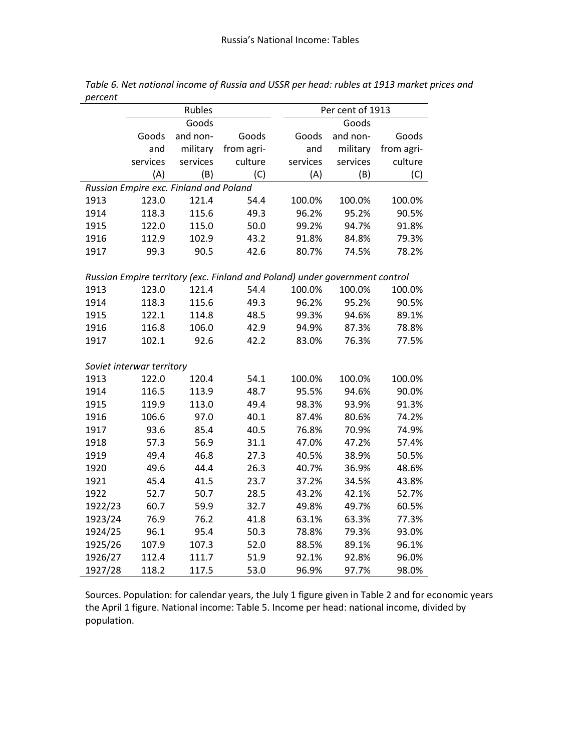|         |                           | Rubles                                 |                                                                             | Per cent of 1913 |          |            |  |
|---------|---------------------------|----------------------------------------|-----------------------------------------------------------------------------|------------------|----------|------------|--|
|         |                           | Goods                                  |                                                                             |                  | Goods    |            |  |
|         | Goods                     | and non-                               | Goods                                                                       | Goods            | and non- | Goods      |  |
|         | and                       | military                               | from agri-                                                                  | and              | military | from agri- |  |
|         | services                  | services                               | culture                                                                     | services         | services | culture    |  |
|         | (A)                       | (B)                                    | (C)                                                                         | (A)              | (B)      | (C)        |  |
|         |                           | Russian Empire exc. Finland and Poland |                                                                             |                  |          |            |  |
| 1913    | 123.0                     | 121.4                                  | 54.4                                                                        | 100.0%           | 100.0%   | 100.0%     |  |
| 1914    | 118.3                     | 115.6                                  | 49.3                                                                        | 96.2%            | 95.2%    | 90.5%      |  |
| 1915    | 122.0                     | 115.0                                  | 50.0                                                                        | 99.2%            | 94.7%    | 91.8%      |  |
| 1916    | 112.9                     | 102.9                                  | 43.2                                                                        | 91.8%            | 84.8%    | 79.3%      |  |
| 1917    | 99.3                      | 90.5                                   | 42.6                                                                        | 80.7%            | 74.5%    | 78.2%      |  |
|         |                           |                                        |                                                                             |                  |          |            |  |
|         |                           |                                        | Russian Empire territory (exc. Finland and Poland) under government control |                  |          |            |  |
| 1913    | 123.0                     | 121.4                                  | 54.4                                                                        | 100.0%           | 100.0%   | 100.0%     |  |
| 1914    | 118.3                     | 115.6                                  | 49.3                                                                        | 96.2%            | 95.2%    | 90.5%      |  |
| 1915    | 122.1                     | 114.8                                  | 48.5                                                                        | 99.3%            | 94.6%    | 89.1%      |  |
| 1916    | 116.8                     | 106.0                                  | 42.9                                                                        | 94.9%            | 87.3%    | 78.8%      |  |
| 1917    | 102.1                     | 92.6                                   | 42.2                                                                        | 83.0%            | 76.3%    | 77.5%      |  |
|         | Soviet interwar territory |                                        |                                                                             |                  |          |            |  |
| 1913    | 122.0                     | 120.4                                  | 54.1                                                                        | 100.0%           | 100.0%   | 100.0%     |  |
| 1914    | 116.5                     | 113.9                                  | 48.7                                                                        | 95.5%            | 94.6%    | 90.0%      |  |
| 1915    | 119.9                     | 113.0                                  | 49.4                                                                        | 98.3%            | 93.9%    | 91.3%      |  |
| 1916    | 106.6                     | 97.0                                   | 40.1                                                                        | 87.4%            | 80.6%    | 74.2%      |  |
| 1917    | 93.6                      | 85.4                                   | 40.5                                                                        | 76.8%            | 70.9%    | 74.9%      |  |
| 1918    | 57.3                      | 56.9                                   | 31.1                                                                        | 47.0%            | 47.2%    | 57.4%      |  |
| 1919    | 49.4                      | 46.8                                   | 27.3                                                                        | 40.5%            | 38.9%    | 50.5%      |  |
| 1920    | 49.6                      | 44.4                                   | 26.3                                                                        | 40.7%            | 36.9%    | 48.6%      |  |
| 1921    | 45.4                      | 41.5                                   | 23.7                                                                        | 37.2%            | 34.5%    | 43.8%      |  |
| 1922    | 52.7                      | 50.7                                   | 28.5                                                                        | 43.2%            | 42.1%    | 52.7%      |  |
| 1922/23 | 60.7                      | 59.9                                   | 32.7                                                                        | 49.8%            | 49.7%    | 60.5%      |  |
| 1923/24 | 76.9                      | 76.2                                   | 41.8                                                                        | 63.1%            | 63.3%    | 77.3%      |  |
| 1924/25 | 96.1                      | 95.4                                   | 50.3                                                                        | 78.8%            | 79.3%    | 93.0%      |  |
| 1925/26 | 107.9                     | 107.3                                  | 52.0                                                                        | 88.5%            | 89.1%    | 96.1%      |  |
| 1926/27 | 112.4                     | 111.7                                  | 51.9                                                                        | 92.1%            | 92.8%    | 96.0%      |  |
| 1927/28 | 118.2                     | 117.5                                  | 53.0                                                                        | 96.9%            | 97.7%    | 98.0%      |  |

*Table 6. Net national income of Russia and USSR per head: rubles at 1913 market prices and percent*

Sources. Population: for calendar years, the July 1 figure given in Table 2 and for economic years the April 1 figure. National income: Table 5. Income per head: national income, divided by population.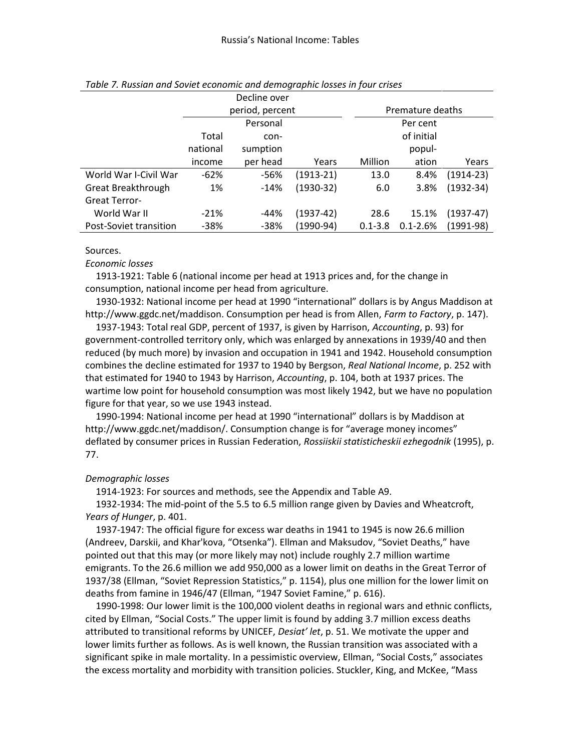|                        |          | Decline over    |             |             |                  |               |
|------------------------|----------|-----------------|-------------|-------------|------------------|---------------|
|                        |          | period, percent |             |             | Premature deaths |               |
|                        |          | Personal        |             |             | Per cent         |               |
|                        | Total    | con-            |             |             | of initial       |               |
|                        | national | sumption        |             |             | popul-           |               |
|                        | income   | per head        | Years       | Million     | ation            | Years         |
| World War I-Civil War  | $-62%$   | -56%            | $(1913-21)$ | 13.0        | 8.4%             | $(1914-23)$   |
| Great Breakthrough     | 1%       | $-14%$          | $(1930-32)$ | 6.0         | 3.8%             | $(1932 - 34)$ |
| <b>Great Terror-</b>   |          |                 |             |             |                  |               |
| World War II           | $-21%$   | -44%            | $(1937-42)$ | 28.6        | 15.1%            | $(1937-47)$   |
| Post-Soviet transition | $-38%$   | -38%            | (1990-94)   | $0.1 - 3.8$ | $0.1 - 2.6%$     | $(1991-98)$   |

### *Table 7. Russian and Soviet economic and demographic losses in four crises*

Sources.

*Economic losses*

1913-1921: Table 6 (national income per head at 1913 prices and, for the change in consumption, national income per head from agriculture.

1930-1932: National income per head at 1990 "international" dollars is by Angus Maddison at http://www.ggdc.net/maddison. Consumption per head is from Allen, *Farm to Factory*, p. 147).

1937-1943: Total real GDP, percent of 1937, is given by Harrison, *Accounting*, p. 93) for government-controlled territory only, which was enlarged by annexations in 1939/40 and then reduced (by much more) by invasion and occupation in 1941 and 1942. Household consumption combines the decline estimated for 1937 to 1940 by Bergson, *Real National Income*, p. 252 with that estimated for 1940 to 1943 by Harrison, *Accounting*, p. 104, both at 1937 prices. The wartime low point for household consumption was most likely 1942, but we have no population figure for that year, so we use 1943 instead.

1990-1994: National income per head at 1990 "international" dollars is by Maddison at http://www.ggdc.net/maddison/. Consumption change is for "average money incomes" deflated by consumer prices in Russian Federation, *Rossiiskii statisticheskii ezhegodnik* (1995), p. 77.

## *Demographic losses*

1914-1923: For sources and methods, see the Appendix and Table A9.

1932-1934: The mid-point of the 5.5 to 6.5 million range given by Davies and Wheatcroft, *Years of Hunger*, p. 401.

1937-1947: The official figure for excess war deaths in 1941 to 1945 is now 26.6 million (Andreev, Darskii, and Khar'kova, "Otsenka"). Ellman and Maksudov, "Soviet Deaths," have pointed out that this may (or more likely may not) include roughly 2.7 million wartime emigrants. To the 26.6 million we add 950,000 as a lower limit on deaths in the Great Terror of 1937/38 (Ellman, "Soviet Repression Statistics," p. 1154), plus one million for the lower limit on deaths from famine in 1946/47 (Ellman, "1947 Soviet Famine," p. 616).

1990-1998: Our lower limit is the 100,000 violent deaths in regional wars and ethnic conflicts, cited by Ellman, "Social Costs." The upper limit is found by adding 3.7 million excess deaths attributed to transitional reforms by UNICEF, *Desiat' let*, p. 51. We motivate the upper and lower limits further as follows. As is well known, the Russian transition was associated with a significant spike in male mortality. In a pessimistic overview, Ellman, "Social Costs," associates the excess mortality and morbidity with transition policies. Stuckler, King, and McKee, "Mass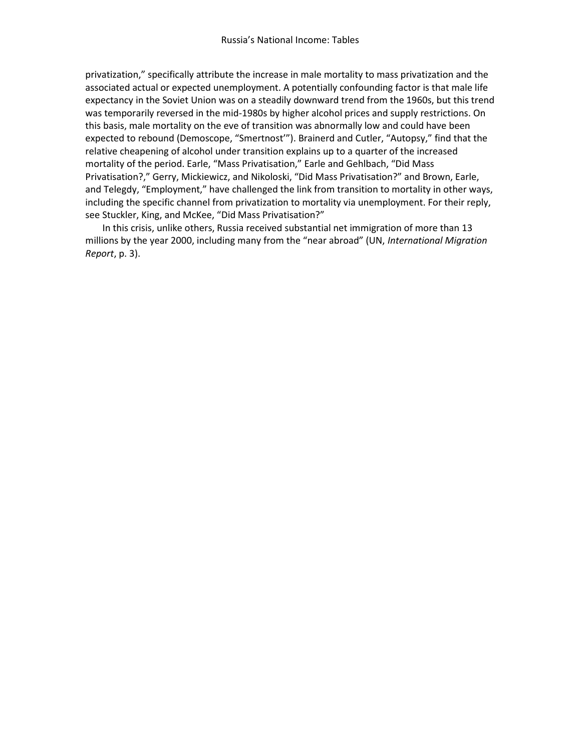privatization," specifically attribute the increase in male mortality to mass privatization and the associated actual or expected unemployment. A potentially confounding factor is that male life expectancy in the Soviet Union was on a steadily downward trend from the 1960s, but this trend was temporarily reversed in the mid-1980s by higher alcohol prices and supply restrictions. On this basis, male mortality on the eve of transition was abnormally low and could have been expected to rebound (Demoscope, "Smertnost'"). Brainerd and Cutler, "Autopsy," find that the relative cheapening of alcohol under transition explains up to a quarter of the increased mortality of the period. Earle, "Mass Privatisation," Earle and Gehlbach, "Did Mass Privatisation?," Gerry, Mickiewicz, and Nikoloski, "Did Mass Privatisation?" and Brown, Earle, and Telegdy, "Employment," have challenged the link from transition to mortality in other ways, including the specific channel from privatization to mortality via unemployment. For their reply, see Stuckler, King, and McKee, "Did Mass Privatisation?"

In this crisis, unlike others, Russia received substantial net immigration of more than 13 millions by the year 2000, including many from the "near abroad" (UN, *International Migration Report*, p. 3).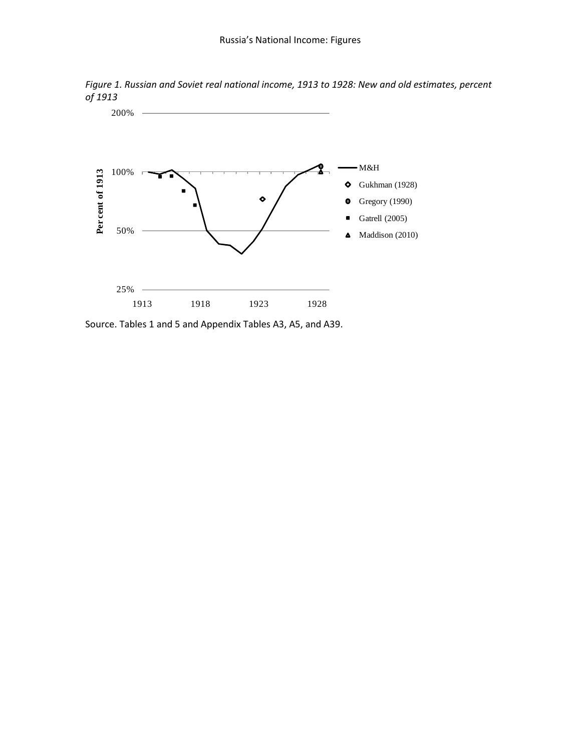



Source. Tables 1 and 5 and Appendix Tables A3, A5, and A39.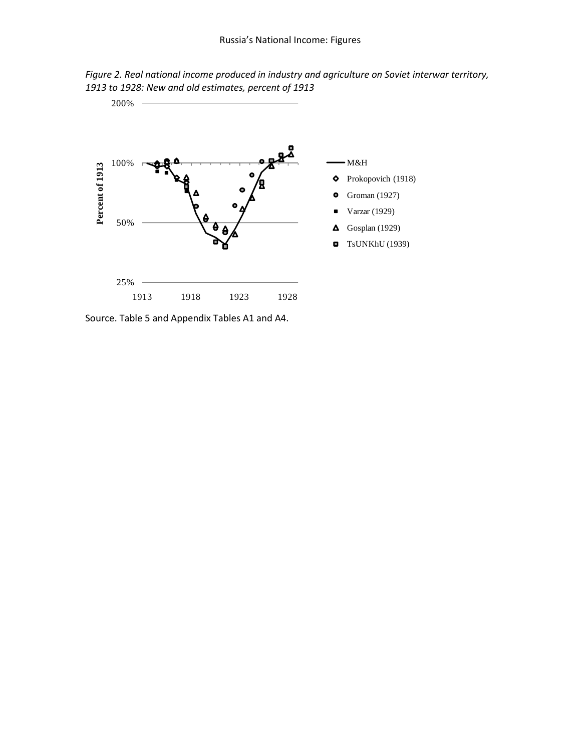



Source. Table 5 and Appendix Tables A1 and A4.

200%

 $\overline{\phantom{a}}$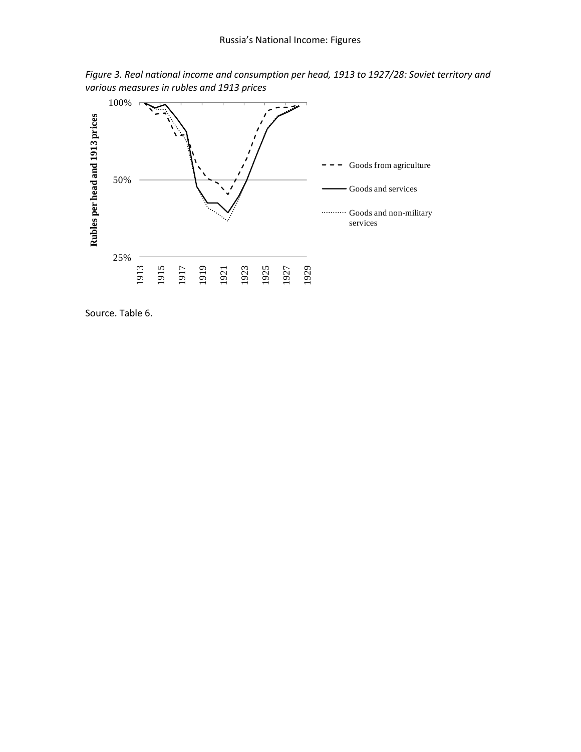

*Figure 3. Real national income and consumption per head, 1913 to 1927/28: Soviet territory and various measures in rubles and 1913 prices*

Source. Table 6.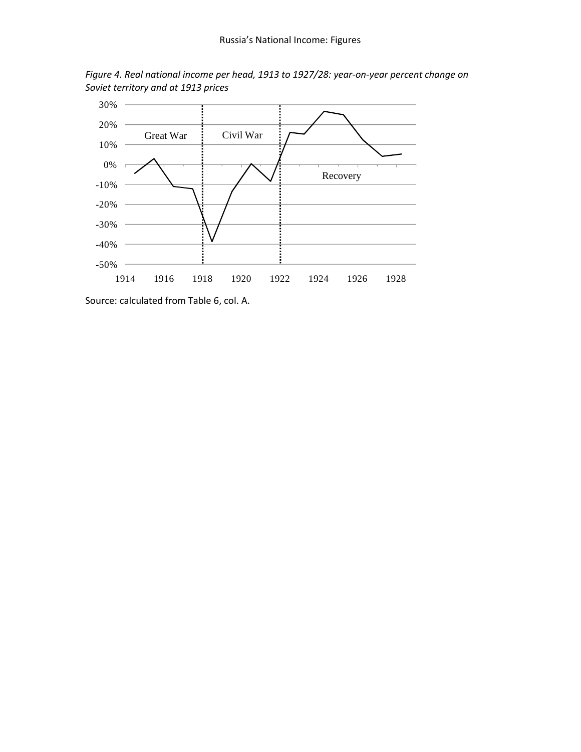

*Figure 4. Real national income per head, 1913 to 1927/28: year-on-year percent change on Soviet territory and at 1913 prices*

Source: calculated from Table 6, col. A.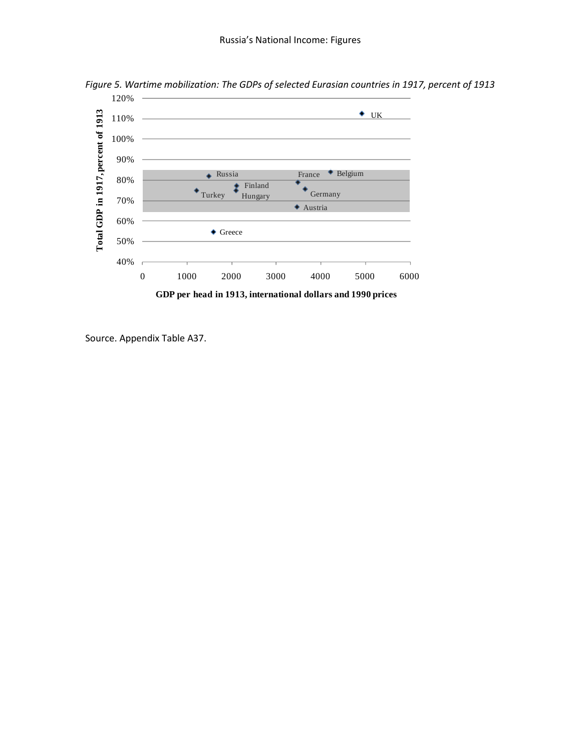

*Figure 5. Wartime mobilization: The GDPs of selected Eurasian countries in 1917, percent of 1913*

Source. Appendix Table A37.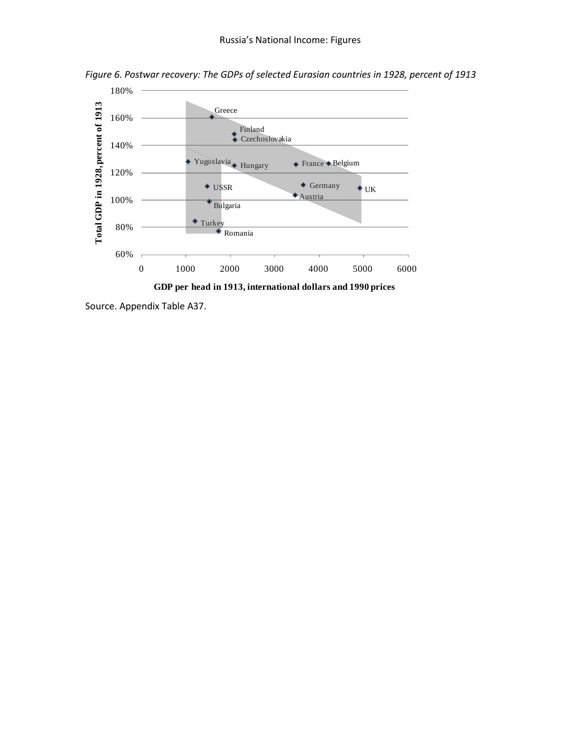

*Figure 6. Postwar recovery: The GDPs of selected Eurasian countries in 1928, percent of 1913*

Source. Appendix Table A37.